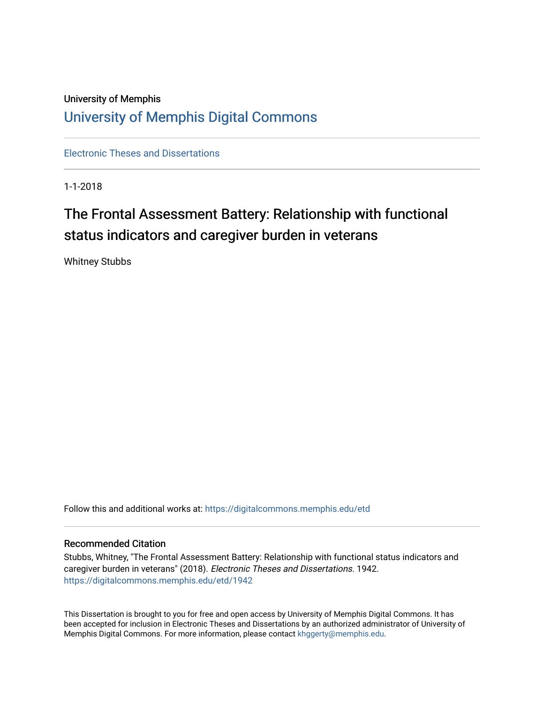## University of Memphis [University of Memphis Digital Commons](https://digitalcommons.memphis.edu/)

[Electronic Theses and Dissertations](https://digitalcommons.memphis.edu/etd)

1-1-2018

# The Frontal Assessment Battery: Relationship with functional status indicators and caregiver burden in veterans

Whitney Stubbs

Follow this and additional works at: [https://digitalcommons.memphis.edu/etd](https://digitalcommons.memphis.edu/etd?utm_source=digitalcommons.memphis.edu%2Fetd%2F1942&utm_medium=PDF&utm_campaign=PDFCoverPages) 

#### Recommended Citation

Stubbs, Whitney, "The Frontal Assessment Battery: Relationship with functional status indicators and caregiver burden in veterans" (2018). Electronic Theses and Dissertations. 1942. [https://digitalcommons.memphis.edu/etd/1942](https://digitalcommons.memphis.edu/etd/1942?utm_source=digitalcommons.memphis.edu%2Fetd%2F1942&utm_medium=PDF&utm_campaign=PDFCoverPages) 

This Dissertation is brought to you for free and open access by University of Memphis Digital Commons. It has been accepted for inclusion in Electronic Theses and Dissertations by an authorized administrator of University of Memphis Digital Commons. For more information, please contact [khggerty@memphis.edu.](mailto:khggerty@memphis.edu)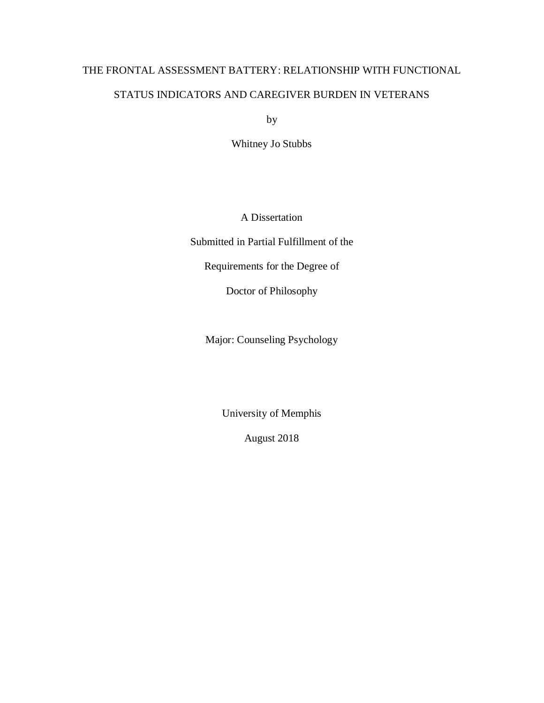# THE FRONTAL ASSESSMENT BATTERY: RELATIONSHIP WITH FUNCTIONAL STATUS INDICATORS AND CAREGIVER BURDEN IN VETERANS

by

Whitney Jo Stubbs

A Dissertation

Submitted in Partial Fulfillment of the

Requirements for the Degree of

Doctor of Philosophy

Major: Counseling Psychology

University of Memphis

August 2018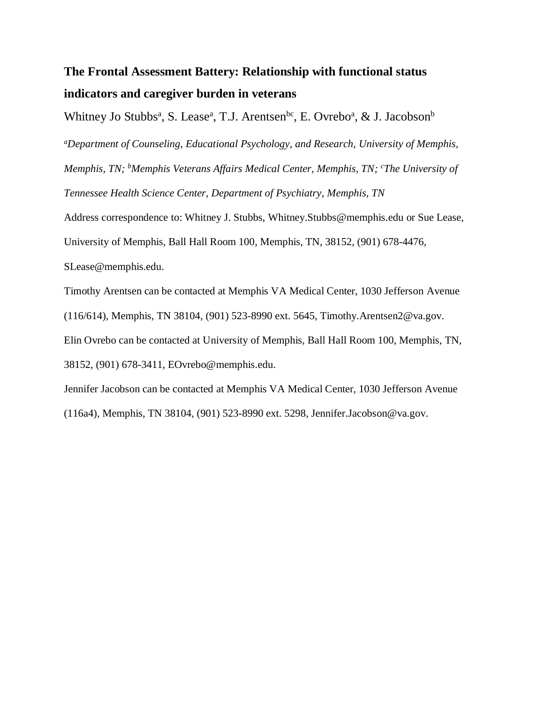## **The Frontal Assessment Battery: Relationship with functional status indicators and caregiver burden in veterans**

Whitney Jo Stubbs<sup>a</sup>, S. Lease<sup>a</sup>, T.J. Arentsen<sup>bc</sup>, E. Ovrebo<sup>a</sup>, & J. Jacobson<sup>b</sup>

*<sup>a</sup>Department of Counseling, Educational Psychology, and Research, University of Memphis, Memphis, TN; <sup>b</sup>Memphis Veterans Affairs Medical Center, Memphis, TN; <sup>c</sup>The University of Tennessee Health Science Center, Department of Psychiatry, Memphis, TN*

Address correspondence to: Whitney J. Stubbs, Whitney.Stubbs@memphis.edu or Sue Lease, University of Memphis, Ball Hall Room 100, Memphis, TN, 38152, (901) 678-4476, SLease@memphis.edu.

Timothy Arentsen can be contacted at Memphis VA Medical Center, 1030 Jefferson Avenue (116/614), Memphis, TN 38104, (901) 523-8990 ext. 5645, Timothy.Arentsen2@va.gov. Elin Ovrebo can be contacted at University of Memphis, Ball Hall Room 100, Memphis, TN, 38152, (901) 678-3411, EOvrebo@memphis.edu.

Jennifer Jacobson can be contacted at Memphis VA Medical Center, 1030 Jefferson Avenue (116a4), Memphis, TN 38104, (901) 523-8990 ext. 5298, Jennifer.Jacobson@va.gov.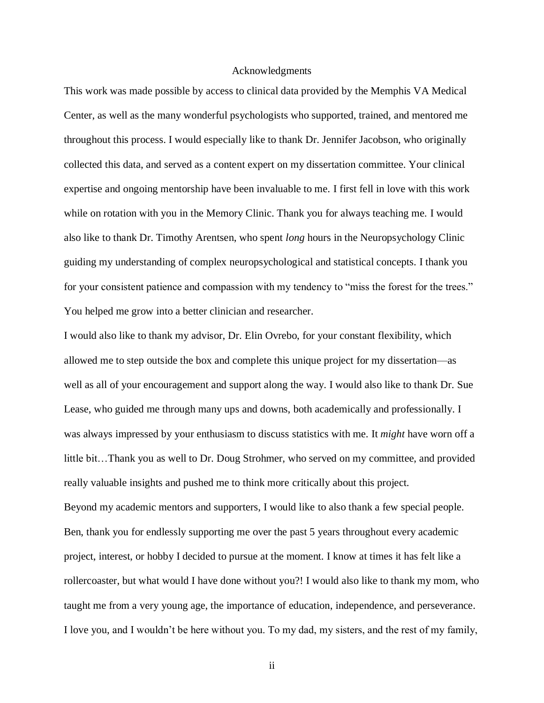#### Acknowledgments

This work was made possible by access to clinical data provided by the Memphis VA Medical Center, as well as the many wonderful psychologists who supported, trained, and mentored me throughout this process. I would especially like to thank Dr. Jennifer Jacobson, who originally collected this data, and served as a content expert on my dissertation committee. Your clinical expertise and ongoing mentorship have been invaluable to me. I first fell in love with this work while on rotation with you in the Memory Clinic. Thank you for always teaching me. I would also like to thank Dr. Timothy Arentsen, who spent *long* hours in the Neuropsychology Clinic guiding my understanding of complex neuropsychological and statistical concepts. I thank you for your consistent patience and compassion with my tendency to "miss the forest for the trees." You helped me grow into a better clinician and researcher.

I would also like to thank my advisor, Dr. Elin Ovrebo, for your constant flexibility, which allowed me to step outside the box and complete this unique project for my dissertation—as well as all of your encouragement and support along the way. I would also like to thank Dr. Sue Lease, who guided me through many ups and downs, both academically and professionally. I was always impressed by your enthusiasm to discuss statistics with me. It *might* have worn off a little bit…Thank you as well to Dr. Doug Strohmer, who served on my committee, and provided really valuable insights and pushed me to think more critically about this project. Beyond my academic mentors and supporters, I would like to also thank a few special people. Ben, thank you for endlessly supporting me over the past 5 years throughout every academic project, interest, or hobby I decided to pursue at the moment. I know at times it has felt like a rollercoaster, but what would I have done without you?! I would also like to thank my mom, who taught me from a very young age, the importance of education, independence, and perseverance. I love you, and I wouldn't be here without you. To my dad, my sisters, and the rest of my family,

ii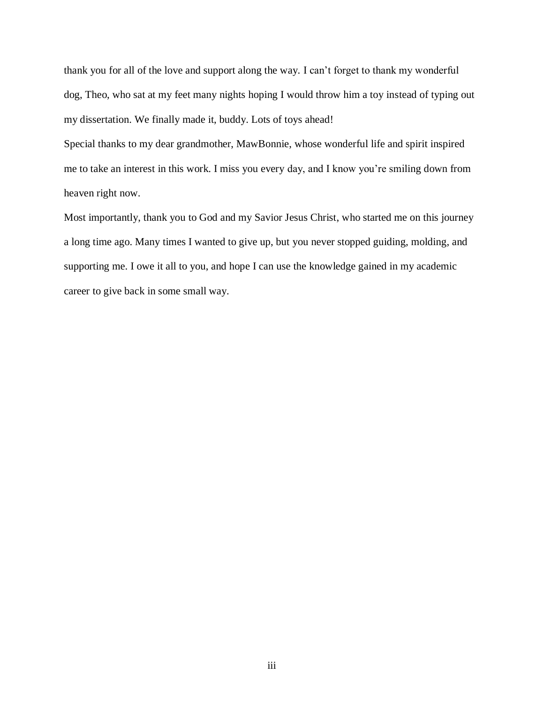thank you for all of the love and support along the way. I can't forget to thank my wonderful dog, Theo, who sat at my feet many nights hoping I would throw him a toy instead of typing out my dissertation. We finally made it, buddy. Lots of toys ahead!

Special thanks to my dear grandmother, MawBonnie, whose wonderful life and spirit inspired me to take an interest in this work. I miss you every day, and I know you're smiling down from heaven right now.

Most importantly, thank you to God and my Savior Jesus Christ, who started me on this journey a long time ago. Many times I wanted to give up, but you never stopped guiding, molding, and supporting me. I owe it all to you, and hope I can use the knowledge gained in my academic career to give back in some small way.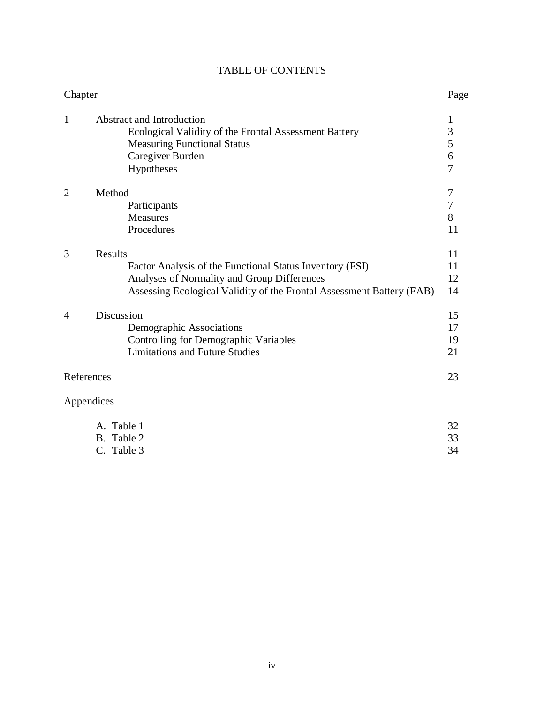| Chapter        |                                                                                                                                                                                                    | Page                                          |
|----------------|----------------------------------------------------------------------------------------------------------------------------------------------------------------------------------------------------|-----------------------------------------------|
| $\mathbf{1}$   | <b>Abstract and Introduction</b><br>Ecological Validity of the Frontal Assessment Battery<br><b>Measuring Functional Status</b><br>Caregiver Burden<br>Hypotheses                                  | 1<br>3<br>5<br>$\overline{6}$<br>7            |
| $\overline{2}$ | Method<br>Participants<br><b>Measures</b><br>Procedures                                                                                                                                            | $\overline{7}$<br>$\boldsymbol{7}$<br>8<br>11 |
| 3              | <b>Results</b><br>Factor Analysis of the Functional Status Inventory (FSI)<br>Analyses of Normality and Group Differences<br>Assessing Ecological Validity of the Frontal Assessment Battery (FAB) | 11<br>11<br>12<br>14                          |
| 4              | Discussion<br>Demographic Associations<br><b>Controlling for Demographic Variables</b><br><b>Limitations and Future Studies</b>                                                                    | 15<br>17<br>19<br>21                          |
|                | References                                                                                                                                                                                         |                                               |
|                | Appendices                                                                                                                                                                                         |                                               |
|                | A. Table 1<br>Table 2<br>В.                                                                                                                                                                        | 32<br>33                                      |

## TABLE OF CONTENTS

B. Table 2 33<br>
C. Table 3 34

C. Table 3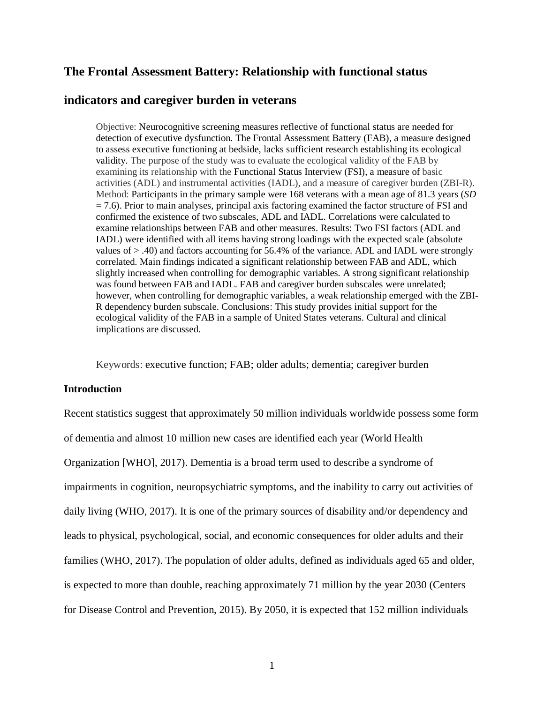### **The Frontal Assessment Battery: Relationship with functional status**

### **indicators and caregiver burden in veterans**

Objective: Neurocognitive screening measures reflective of functional status are needed for detection of executive dysfunction. The Frontal Assessment Battery (FAB), a measure designed to assess executive functioning at bedside, lacks sufficient research establishing its ecological validity. The purpose of the study was to evaluate the ecological validity of the FAB by examining its relationship with the Functional Status Interview (FSI), a measure of basic activities (ADL) and instrumental activities (IADL), and a measure of caregiver burden (ZBI-R). Method: Participants in the primary sample were 168 veterans with a mean age of 81.3 years (*SD*  $= 7.6$ ). Prior to main analyses, principal axis factoring examined the factor structure of FSI and confirmed the existence of two subscales, ADL and IADL. Correlations were calculated to examine relationships between FAB and other measures. Results: Two FSI factors (ADL and IADL) were identified with all items having strong loadings with the expected scale (absolute values of > .40) and factors accounting for 56.4% of the variance. ADL and IADL were strongly correlated. Main findings indicated a significant relationship between FAB and ADL, which slightly increased when controlling for demographic variables. A strong significant relationship was found between FAB and IADL. FAB and caregiver burden subscales were unrelated; however, when controlling for demographic variables, a weak relationship emerged with the ZBI-R dependency burden subscale. Conclusions: This study provides initial support for the ecological validity of the FAB in a sample of United States veterans. Cultural and clinical implications are discussed.

Keywords: executive function; FAB; older adults; dementia; caregiver burden

#### **Introduction**

Recent statistics suggest that approximately 50 million individuals worldwide possess some form of dementia and almost 10 million new cases are identified each year (World Health Organization [WHO], 2017). Dementia is a broad term used to describe a syndrome of impairments in cognition, neuropsychiatric symptoms, and the inability to carry out activities of daily living (WHO, 2017). It is one of the primary sources of disability and/or dependency and leads to physical, psychological, social, and economic consequences for older adults and their families (WHO, 2017). The population of older adults, defined as individuals aged 65 and older, is expected to more than double, reaching approximately 71 million by the year 2030 (Centers for Disease Control and Prevention, 2015). By 2050, it is expected that 152 million individuals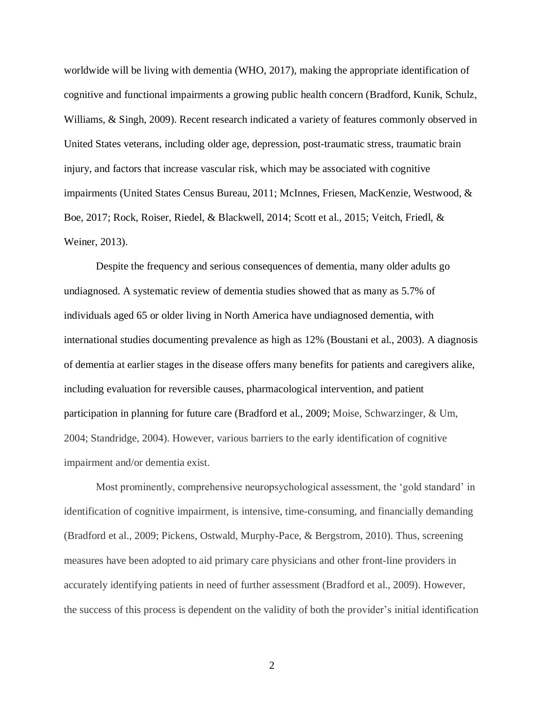worldwide will be living with dementia (WHO, 2017), making the appropriate identification of cognitive and functional impairments a growing public health concern (Bradford, Kunik, Schulz, Williams, & Singh, 2009). Recent research indicated a variety of features commonly observed in United States veterans, including older age, depression, post-traumatic stress, traumatic brain injury, and factors that increase vascular risk, which may be associated with cognitive impairments (United States Census Bureau, 2011; McInnes, Friesen, MacKenzie, Westwood, & Boe, 2017; Rock, Roiser, Riedel, & Blackwell, 2014; Scott et al., 2015; Veitch, Friedl, & Weiner, 2013).

Despite the frequency and serious consequences of dementia, many older adults go undiagnosed. A systematic review of dementia studies showed that as many as 5.7% of individuals aged 65 or older living in North America have undiagnosed dementia, with international studies documenting prevalence as high as 12% (Boustani et al., 2003). A diagnosis of dementia at earlier stages in the disease offers many benefits for patients and caregivers alike, including evaluation for reversible causes, pharmacological intervention, and patient participation in planning for future care (Bradford et al., 2009; Moise, Schwarzinger, & Um, 2004; Standridge, 2004). However, various barriers to the early identification of cognitive impairment and/or dementia exist.

Most prominently, comprehensive neuropsychological assessment, the 'gold standard' in identification of cognitive impairment, is intensive, time-consuming, and financially demanding (Bradford et al., 2009; Pickens, Ostwald, Murphy-Pace, & Bergstrom, 2010). Thus, screening measures have been adopted to aid primary care physicians and other front-line providers in accurately identifying patients in need of further assessment (Bradford et al., 2009). However, the success of this process is dependent on the validity of both the provider's initial identification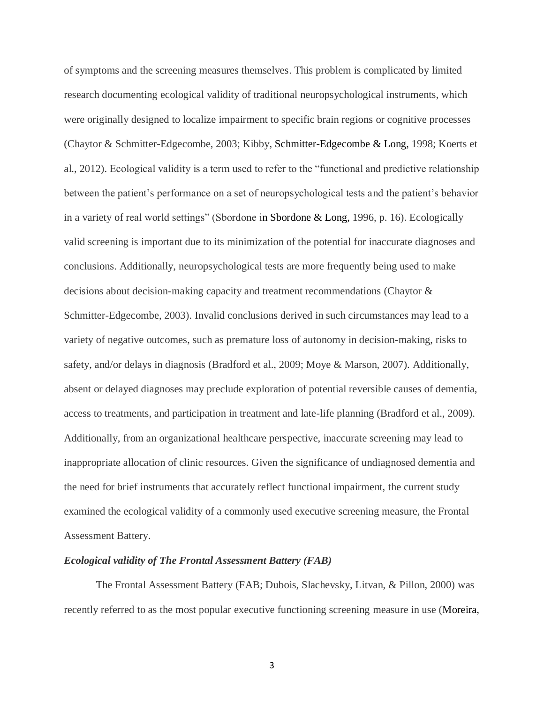of symptoms and the screening measures themselves. This problem is complicated by limited research documenting ecological validity of traditional neuropsychological instruments, which were originally designed to localize impairment to specific brain regions or cognitive processes (Chaytor & Schmitter-Edgecombe, 2003; Kibby, Schmitter-Edgecombe & Long, 1998; Koerts et al., 2012). Ecological validity is a term used to refer to the "functional and predictive relationship between the patient's performance on a set of neuropsychological tests and the patient's behavior in a variety of real world settings" (Sbordone in Sbordone & Long, 1996, p. 16). Ecologically valid screening is important due to its minimization of the potential for inaccurate diagnoses and conclusions. Additionally, neuropsychological tests are more frequently being used to make decisions about decision-making capacity and treatment recommendations (Chaytor & Schmitter-Edgecombe, 2003). Invalid conclusions derived in such circumstances may lead to a variety of negative outcomes, such as premature loss of autonomy in decision-making, risks to safety, and/or delays in diagnosis (Bradford et al., 2009; Moye & Marson, 2007). Additionally, absent or delayed diagnoses may preclude exploration of potential reversible causes of dementia, access to treatments, and participation in treatment and late-life planning (Bradford et al., 2009). Additionally, from an organizational healthcare perspective, inaccurate screening may lead to inappropriate allocation of clinic resources. Given the significance of undiagnosed dementia and the need for brief instruments that accurately reflect functional impairment, the current study examined the ecological validity of a commonly used executive screening measure, the Frontal Assessment Battery.

#### *Ecological validity of The Frontal Assessment Battery (FAB)*

The Frontal Assessment Battery (FAB; Dubois, Slachevsky, Litvan, & Pillon, 2000) was recently referred to as the most popular executive functioning screening measure in use (Moreira,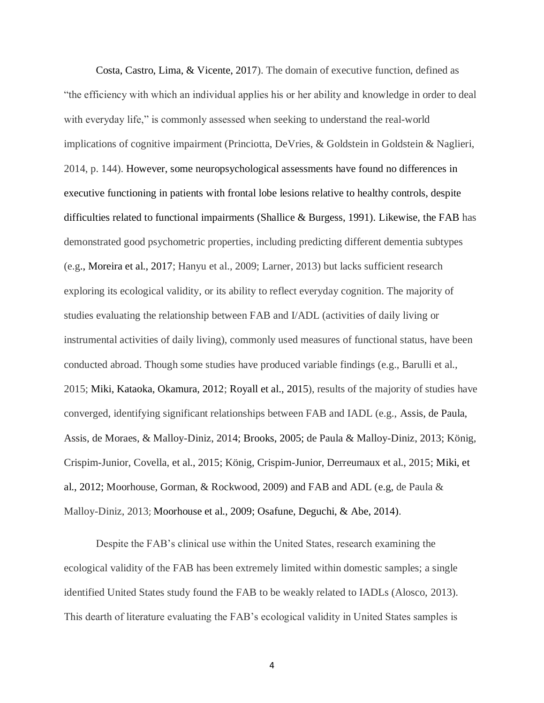Costa, Castro, Lima, & Vicente, 2017). The domain of executive function, defined as "the efficiency with which an individual applies his or her ability and knowledge in order to deal with everyday life," is commonly assessed when seeking to understand the real-world implications of cognitive impairment (Princiotta, DeVries, & Goldstein in Goldstein & Naglieri, 2014, p. 144). However, some neuropsychological assessments have found no differences in executive functioning in patients with frontal lobe lesions relative to healthy controls, despite difficulties related to functional impairments (Shallice  $\&$  Burgess, 1991). Likewise, the FAB has demonstrated good psychometric properties, including predicting different dementia subtypes (e.g., Moreira et al., 2017; Hanyu et al., 2009; Larner, 2013) but lacks sufficient research exploring its ecological validity, or its ability to reflect everyday cognition. The majority of studies evaluating the relationship between FAB and I/ADL (activities of daily living or instrumental activities of daily living), commonly used measures of functional status, have been conducted abroad. Though some studies have produced variable findings (e.g., Barulli et al., 2015; Miki, Kataoka, Okamura, 2012; Royall et al., 2015), results of the majority of studies have converged, identifying significant relationships between FAB and IADL (e.g., Assis, de Paula, Assis, de Moraes, & Malloy-Diniz, 2014; Brooks, 2005; de Paula & Malloy-Diniz, 2013; König, Crispim-Junior, Covella, et al., 2015; König, Crispim-Junior, Derreumaux et al., 2015; Miki, et al., 2012; Moorhouse, Gorman, & Rockwood, 2009) and FAB and ADL (e.g, de Paula & Malloy-Diniz, 2013; Moorhouse et al., 2009; Osafune, Deguchi, & Abe, 2014).

Despite the FAB's clinical use within the United States, research examining the ecological validity of the FAB has been extremely limited within domestic samples; a single identified United States study found the FAB to be weakly related to IADLs (Alosco, 2013). This dearth of literature evaluating the FAB's ecological validity in United States samples is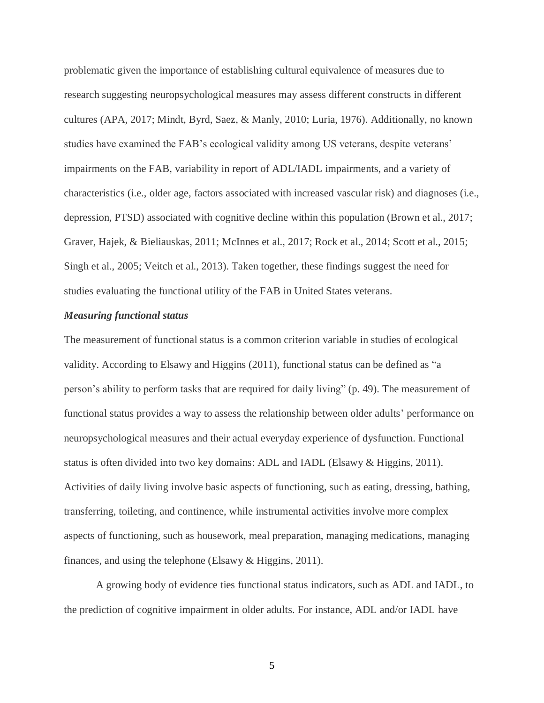problematic given the importance of establishing cultural equivalence of measures due to research suggesting neuropsychological measures may assess different constructs in different cultures (APA, 2017; Mindt, Byrd, Saez, & Manly, 2010; Luria, 1976). Additionally, no known studies have examined the FAB's ecological validity among US veterans, despite veterans' impairments on the FAB, variability in report of ADL/IADL impairments, and a variety of characteristics (i.e., older age, factors associated with increased vascular risk) and diagnoses (i.e., depression, PTSD) associated with cognitive decline within this population (Brown et al., 2017; Graver, Hajek, & Bieliauskas, 2011; McInnes et al., 2017; Rock et al., 2014; Scott et al., 2015; Singh et al., 2005; Veitch et al., 2013). Taken together, these findings suggest the need for studies evaluating the functional utility of the FAB in United States veterans.

#### *Measuring functional status*

The measurement of functional status is a common criterion variable in studies of ecological validity. According to Elsawy and Higgins (2011), functional status can be defined as "a person's ability to perform tasks that are required for daily living" (p. 49). The measurement of functional status provides a way to assess the relationship between older adults' performance on neuropsychological measures and their actual everyday experience of dysfunction. Functional status is often divided into two key domains: ADL and IADL (Elsawy & Higgins, 2011). Activities of daily living involve basic aspects of functioning, such as eating, dressing, bathing, transferring, toileting, and continence, while instrumental activities involve more complex aspects of functioning, such as housework, meal preparation, managing medications, managing finances, and using the telephone (Elsawy & Higgins, 2011).

A growing body of evidence ties functional status indicators, such as ADL and IADL, to the prediction of cognitive impairment in older adults. For instance, ADL and/or IADL have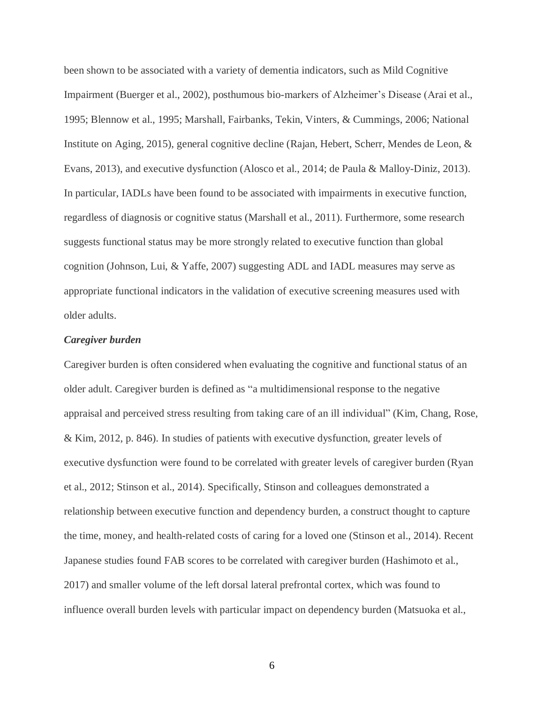been shown to be associated with a variety of dementia indicators, such as Mild Cognitive Impairment (Buerger et al., 2002), posthumous bio-markers of Alzheimer's Disease (Arai et al., 1995; Blennow et al., 1995; Marshall, Fairbanks, Tekin, Vinters, & Cummings, 2006; National Institute on Aging, 2015), general cognitive decline (Rajan, Hebert, Scherr, Mendes de Leon, & Evans, 2013), and executive dysfunction (Alosco et al., 2014; de Paula & Malloy-Diniz, 2013). In particular, IADLs have been found to be associated with impairments in executive function, regardless of diagnosis or cognitive status (Marshall et al., 2011). Furthermore, some research suggests functional status may be more strongly related to executive function than global cognition (Johnson, Lui, & Yaffe, 2007) suggesting ADL and IADL measures may serve as appropriate functional indicators in the validation of executive screening measures used with older adults.

#### *Caregiver burden*

Caregiver burden is often considered when evaluating the cognitive and functional status of an older adult. Caregiver burden is defined as "a multidimensional response to the negative appraisal and perceived stress resulting from taking care of an ill individual" (Kim, Chang, Rose, & Kim, 2012, p. 846). In studies of patients with executive dysfunction, greater levels of executive dysfunction were found to be correlated with greater levels of caregiver burden (Ryan et al., 2012; Stinson et al., 2014). Specifically, Stinson and colleagues demonstrated a relationship between executive function and dependency burden, a construct thought to capture the time, money, and health-related costs of caring for a loved one (Stinson et al., 2014). Recent Japanese studies found FAB scores to be correlated with caregiver burden (Hashimoto et al., 2017) and smaller volume of the left dorsal lateral prefrontal cortex, which was found to influence overall burden levels with particular impact on dependency burden (Matsuoka et al.,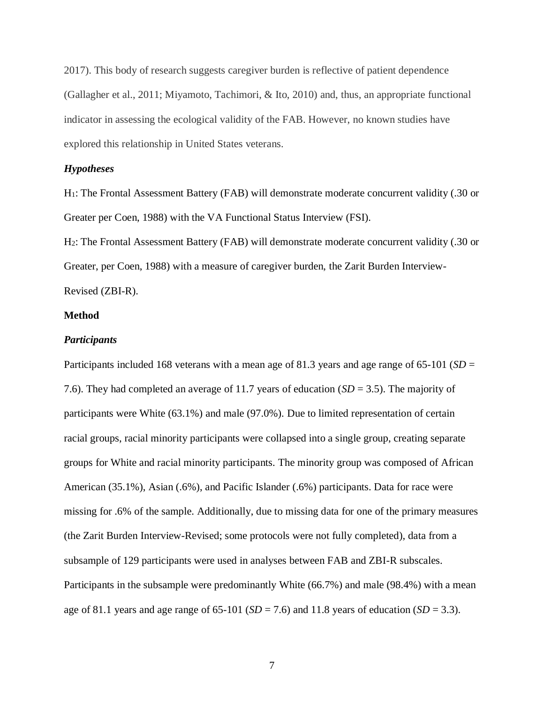2017). This body of research suggests caregiver burden is reflective of patient dependence (Gallagher et al., 2011; Miyamoto, Tachimori, & Ito, 2010) and, thus, an appropriate functional indicator in assessing the ecological validity of the FAB. However, no known studies have explored this relationship in United States veterans.

#### *Hypotheses*

H1: The Frontal Assessment Battery (FAB) will demonstrate moderate concurrent validity (.30 or Greater per Coen, 1988) with the VA Functional Status Interview (FSI).

H2: The Frontal Assessment Battery (FAB) will demonstrate moderate concurrent validity (.30 or Greater, per Coen, 1988) with a measure of caregiver burden, the Zarit Burden Interview-Revised (ZBI-R).

#### **Method**

#### *Participants*

Participants included 168 veterans with a mean age of 81.3 years and age range of 65-101 (*SD* = 7.6). They had completed an average of 11.7 years of education (*SD* = 3.5). The majority of participants were White (63.1%) and male (97.0%). Due to limited representation of certain racial groups, racial minority participants were collapsed into a single group, creating separate groups for White and racial minority participants. The minority group was composed of African American (35.1%), Asian (.6%), and Pacific Islander (.6%) participants. Data for race were missing for .6% of the sample. Additionally, due to missing data for one of the primary measures (the Zarit Burden Interview-Revised; some protocols were not fully completed), data from a subsample of 129 participants were used in analyses between FAB and ZBI-R subscales. Participants in the subsample were predominantly White (66.7%) and male (98.4%) with a mean age of 81.1 years and age range of  $65$ -101 (*SD* = 7.6) and 11.8 years of education (*SD* = 3.3).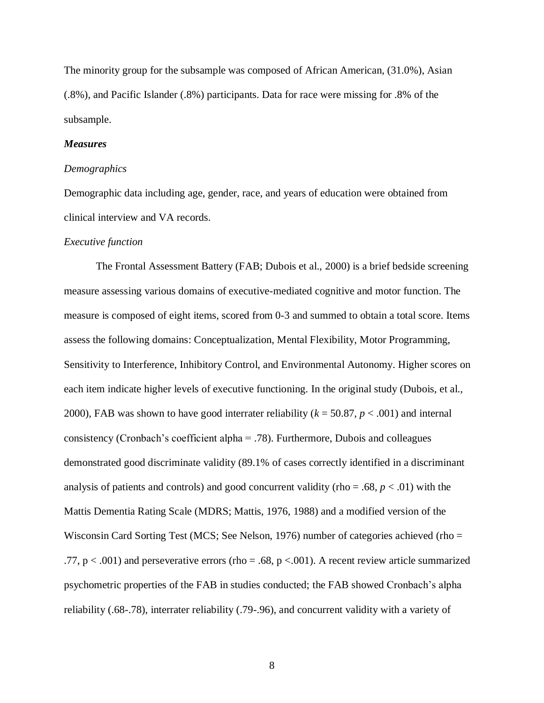The minority group for the subsample was composed of African American, (31.0%), Asian (.8%), and Pacific Islander (.8%) participants. Data for race were missing for .8% of the subsample.

#### *Measures*

#### *Demographics*

Demographic data including age, gender, race, and years of education were obtained from clinical interview and VA records.

#### *Executive function*

The Frontal Assessment Battery (FAB; Dubois et al., 2000) is a brief bedside screening measure assessing various domains of executive-mediated cognitive and motor function. The measure is composed of eight items, scored from 0-3 and summed to obtain a total score. Items assess the following domains: Conceptualization, Mental Flexibility, Motor Programming, Sensitivity to Interference, Inhibitory Control, and Environmental Autonomy. Higher scores on each item indicate higher levels of executive functioning. In the original study (Dubois, et al., 2000), FAB was shown to have good interrater reliability  $(k = 50.87, p < .001)$  and internal consistency (Cronbach's coefficient alpha = .78). Furthermore, Dubois and colleagues demonstrated good discriminate validity (89.1% of cases correctly identified in a discriminant analysis of patients and controls) and good concurrent validity (rho =  $.68, p < .01$ ) with the Mattis Dementia Rating Scale (MDRS; Mattis, 1976, 1988) and a modified version of the Wisconsin Card Sorting Test (MCS; See Nelson, 1976) number of categories achieved (rho = .77,  $p < .001$ ) and perseverative errors (rho = .68,  $p < .001$ ). A recent review article summarized psychometric properties of the FAB in studies conducted; the FAB showed Cronbach's alpha reliability (.68-.78), interrater reliability (.79-.96), and concurrent validity with a variety of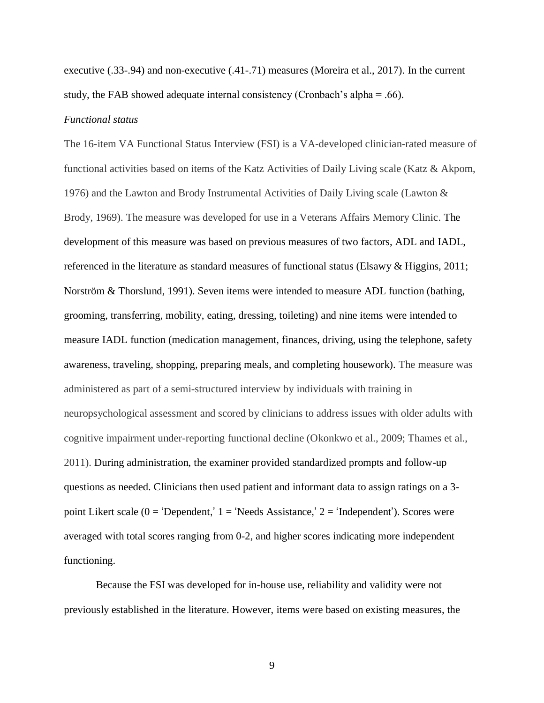executive (.33-.94) and non-executive (.41-.71) measures (Moreira et al., 2017). In the current study, the FAB showed adequate internal consistency (Cronbach's alpha = .66).

#### *Functional status*

The 16-item VA Functional Status Interview (FSI) is a VA-developed clinician-rated measure of functional activities based on items of the Katz Activities of Daily Living scale (Katz & Akpom, 1976) and the Lawton and Brody Instrumental Activities of Daily Living scale (Lawton & Brody, 1969). The measure was developed for use in a Veterans Affairs Memory Clinic. The development of this measure was based on previous measures of two factors, ADL and IADL, referenced in the literature as standard measures of functional status (Elsawy & Higgins, 2011; Norström & Thorslund, 1991). Seven items were intended to measure ADL function (bathing, grooming, transferring, mobility, eating, dressing, toileting) and nine items were intended to measure IADL function (medication management, finances, driving, using the telephone, safety awareness, traveling, shopping, preparing meals, and completing housework). The measure was administered as part of a semi-structured interview by individuals with training in neuropsychological assessment and scored by clinicians to address issues with older adults with cognitive impairment under-reporting functional decline (Okonkwo et al., 2009; Thames et al., 2011). During administration, the examiner provided standardized prompts and follow-up questions as needed. Clinicians then used patient and informant data to assign ratings on a 3 point Likert scale ( $0 =$  'Dependent,'  $1 =$  'Needs Assistance,'  $2 =$  'Independent'). Scores were averaged with total scores ranging from 0-2, and higher scores indicating more independent functioning.

Because the FSI was developed for in-house use, reliability and validity were not previously established in the literature. However, items were based on existing measures, the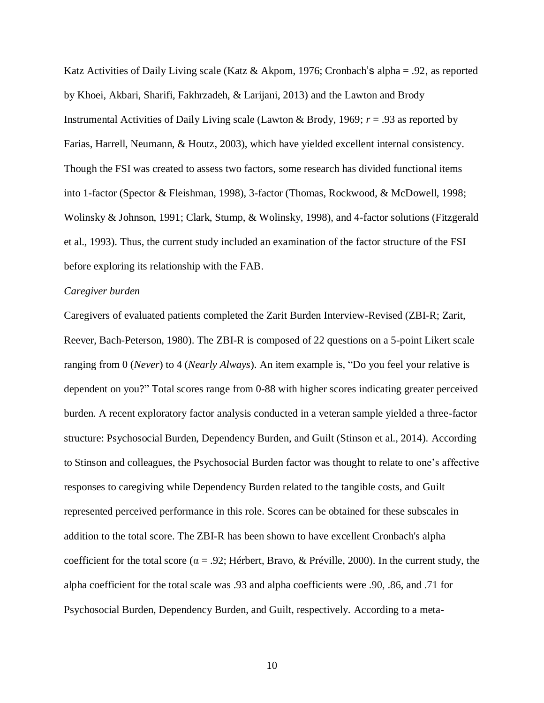Katz Activities of Daily Living scale (Katz & Akpom, 1976; Cronbach's alpha = .92, as reported by Khoei, Akbari, Sharifi, Fakhrzadeh, & Larijani, 2013) and the Lawton and Brody Instrumental Activities of Daily Living scale (Lawton & Brody, 1969; *r* = .93 as reported by Farias, Harrell, Neumann, & Houtz, 2003), which have yielded excellent internal consistency. Though the FSI was created to assess two factors, some research has divided functional items into 1-factor (Spector & Fleishman, 1998), 3-factor (Thomas, Rockwood, & McDowell, 1998; Wolinsky & Johnson, 1991; Clark, Stump, & Wolinsky, 1998), and 4-factor solutions (Fitzgerald et al., 1993). Thus, the current study included an examination of the factor structure of the FSI before exploring its relationship with the FAB.

#### *Caregiver burden*

Caregivers of evaluated patients completed the Zarit Burden Interview-Revised (ZBI-R; Zarit, Reever, Bach-Peterson, 1980). The ZBI-R is composed of 22 questions on a 5-point Likert scale ranging from 0 (*Never*) to 4 (*Nearly Always*). An item example is, "Do you feel your relative is dependent on you?" Total scores range from 0-88 with higher scores indicating greater perceived burden. A recent exploratory factor analysis conducted in a veteran sample yielded a three-factor structure: Psychosocial Burden, Dependency Burden, and Guilt (Stinson et al., 2014). According to Stinson and colleagues, the Psychosocial Burden factor was thought to relate to one's affective responses to caregiving while Dependency Burden related to the tangible costs, and Guilt represented perceived performance in this role. Scores can be obtained for these subscales in addition to the total score. The ZBI-R has been shown to have excellent Cronbach's alpha coefficient for the total score ( $\alpha$  = .92; Hérbert, Bravo, & Préville, 2000). In the current study, the alpha coefficient for the total scale was .93 and alpha coefficients were .90, .86, and .71 for Psychosocial Burden, Dependency Burden, and Guilt, respectively. According to a meta-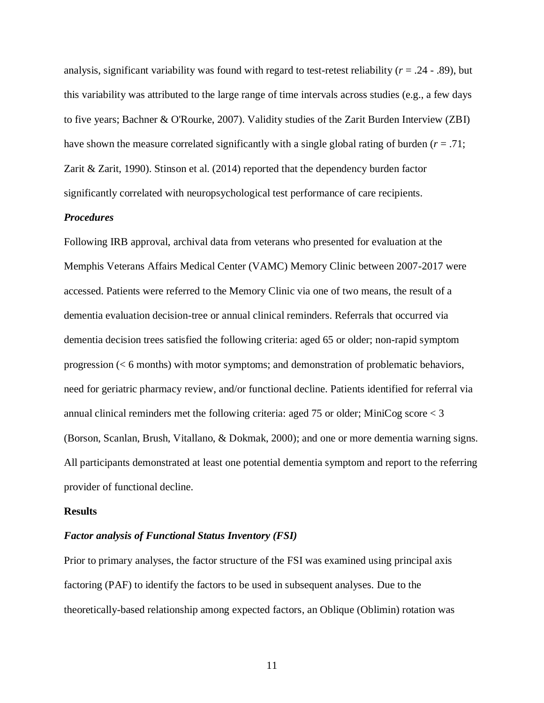analysis, significant variability was found with regard to test-retest reliability (*r* = .24 - .89), but this variability was attributed to the large range of time intervals across studies (e.g., a few days to five years; Bachner & O'Rourke, 2007). Validity studies of the Zarit Burden Interview (ZBI) have shown the measure correlated significantly with a single global rating of burden (*r* = .71; Zarit & Zarit, 1990). Stinson et al. (2014) reported that the dependency burden factor significantly correlated with neuropsychological test performance of care recipients.

#### *Procedures*

Following IRB approval, archival data from veterans who presented for evaluation at the Memphis Veterans Affairs Medical Center (VAMC) Memory Clinic between 2007-2017 were accessed. Patients were referred to the Memory Clinic via one of two means, the result of a dementia evaluation decision-tree or annual clinical reminders. Referrals that occurred via dementia decision trees satisfied the following criteria: aged 65 or older; non-rapid symptom progression (< 6 months) with motor symptoms; and demonstration of problematic behaviors, need for geriatric pharmacy review, and/or functional decline. Patients identified for referral via annual clinical reminders met the following criteria: aged 75 or older; MiniCog score < 3 (Borson, Scanlan, Brush, Vitallano, & Dokmak, 2000); and one or more dementia warning signs. All participants demonstrated at least one potential dementia symptom and report to the referring provider of functional decline.

#### **Results**

#### *Factor analysis of Functional Status Inventory (FSI)*

Prior to primary analyses, the factor structure of the FSI was examined using principal axis factoring (PAF) to identify the factors to be used in subsequent analyses. Due to the theoretically-based relationship among expected factors, an Oblique (Oblimin) rotation was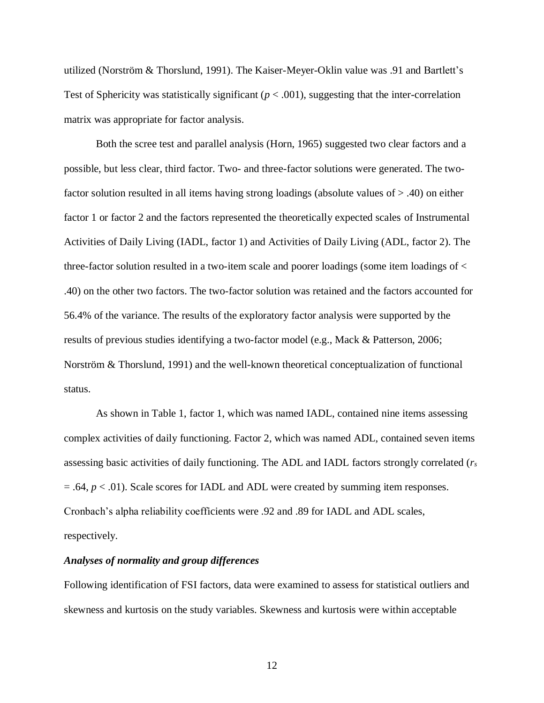utilized (Norström & Thorslund, 1991). The Kaiser-Meyer-Oklin value was .91 and Bartlett's Test of Sphericity was statistically significant  $(p < .001)$ , suggesting that the inter-correlation matrix was appropriate for factor analysis.

Both the scree test and parallel analysis (Horn, 1965) suggested two clear factors and a possible, but less clear, third factor. Two- and three-factor solutions were generated. The twofactor solution resulted in all items having strong loadings (absolute values of > .40) on either factor 1 or factor 2 and the factors represented the theoretically expected scales of Instrumental Activities of Daily Living (IADL, factor 1) and Activities of Daily Living (ADL, factor 2). The three-factor solution resulted in a two-item scale and poorer loadings (some item loadings of < .40) on the other two factors. The two-factor solution was retained and the factors accounted for 56.4% of the variance. The results of the exploratory factor analysis were supported by the results of previous studies identifying a two-factor model (e.g., Mack & Patterson, 2006; Norström & Thorslund, 1991) and the well-known theoretical conceptualization of functional status.

As shown in Table 1, factor 1, which was named IADL, contained nine items assessing complex activities of daily functioning. Factor 2, which was named ADL, contained seven items assessing basic activities of daily functioning. The ADL and IADL factors strongly correlated (*r<sup>s</sup>*  $= .64, p < .01$ ). Scale scores for IADL and ADL were created by summing item responses. Cronbach's alpha reliability coefficients were .92 and .89 for IADL and ADL scales, respectively.

#### *Analyses of normality and group differences*

Following identification of FSI factors, data were examined to assess for statistical outliers and skewness and kurtosis on the study variables. Skewness and kurtosis were within acceptable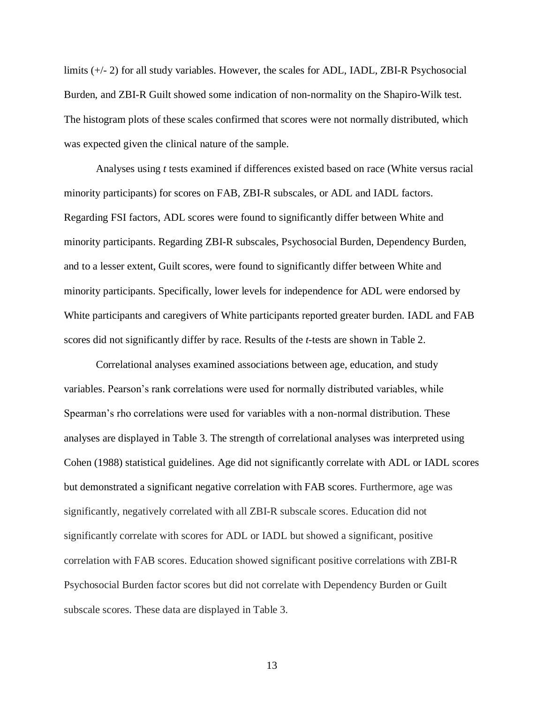limits (+/- 2) for all study variables. However, the scales for ADL, IADL, ZBI-R Psychosocial Burden, and ZBI-R Guilt showed some indication of non-normality on the Shapiro-Wilk test. The histogram plots of these scales confirmed that scores were not normally distributed, which was expected given the clinical nature of the sample.

Analyses using *t* tests examined if differences existed based on race (White versus racial minority participants) for scores on FAB, ZBI-R subscales, or ADL and IADL factors. Regarding FSI factors, ADL scores were found to significantly differ between White and minority participants. Regarding ZBI-R subscales, Psychosocial Burden, Dependency Burden, and to a lesser extent, Guilt scores, were found to significantly differ between White and minority participants. Specifically, lower levels for independence for ADL were endorsed by White participants and caregivers of White participants reported greater burden. IADL and FAB scores did not significantly differ by race. Results of the *t*-tests are shown in Table 2.

Correlational analyses examined associations between age, education, and study variables. Pearson's rank correlations were used for normally distributed variables, while Spearman's rho correlations were used for variables with a non-normal distribution. These analyses are displayed in Table 3. The strength of correlational analyses was interpreted using Cohen (1988) statistical guidelines. Age did not significantly correlate with ADL or IADL scores but demonstrated a significant negative correlation with FAB scores. Furthermore, age was significantly, negatively correlated with all ZBI-R subscale scores. Education did not significantly correlate with scores for ADL or IADL but showed a significant, positive correlation with FAB scores. Education showed significant positive correlations with ZBI-R Psychosocial Burden factor scores but did not correlate with Dependency Burden or Guilt subscale scores. These data are displayed in Table 3.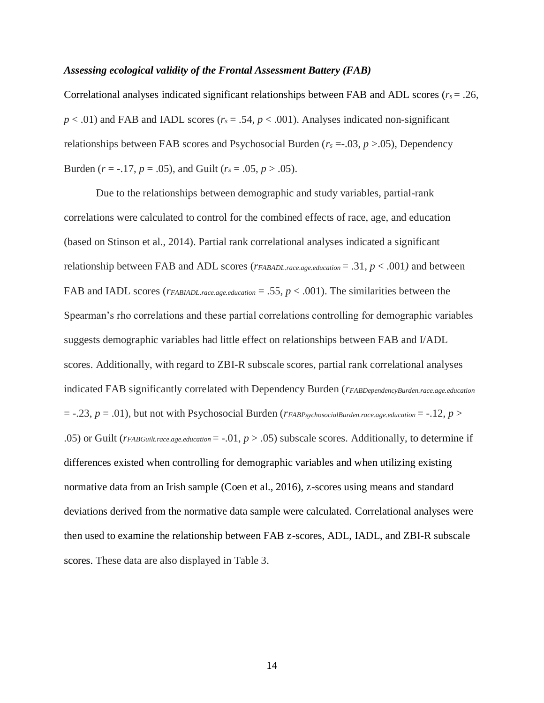#### *Assessing ecological validity of the Frontal Assessment Battery (FAB)*

Correlational analyses indicated significant relationships between FAB and ADL scores ( $r_s = .26$ ,  $p < .01$ ) and FAB and IADL scores ( $r<sub>s</sub> = .54$ ,  $p < .001$ ). Analyses indicated non-significant relationships between FAB scores and Psychosocial Burden ( $r_s = .03$ ,  $p > .05$ ), Dependency Burden ( $r = -.17$ ,  $p = .05$ ), and Guilt ( $r_s = .05$ ,  $p > .05$ ).

Due to the relationships between demographic and study variables, partial-rank correlations were calculated to control for the combined effects of race, age, and education (based on Stinson et al., 2014). Partial rank correlational analyses indicated a significant relationship between FAB and ADL scores (*rFABADL.race*.*age.education* = .31, *p* < .001*)* and between FAB and IADL scores (*rFABIADL.race*.*age.education* = .55, *p* < .001). The similarities between the Spearman's rho correlations and these partial correlations controlling for demographic variables suggests demographic variables had little effect on relationships between FAB and I/ADL scores. Additionally, with regard to ZBI-R subscale scores, partial rank correlational analyses indicated FAB significantly correlated with Dependency Burden (*rFABDependencyBurden.race*.*age.education*   $=$  -.23,  $p = .01$ ), but not with Psychosocial Burden ( $r_{FABPsychosocialBurden, race. age. education = -.12, p > 0$ ) .05) or Guilt ( $r_{FABGuilt, race. age. education = -.01, p > .05$ ) subscale scores. Additionally, to determine if differences existed when controlling for demographic variables and when utilizing existing normative data from an Irish sample (Coen et al., 2016), z-scores using means and standard deviations derived from the normative data sample were calculated. Correlational analyses were then used to examine the relationship between FAB z-scores, ADL, IADL, and ZBI-R subscale scores. These data are also displayed in Table 3.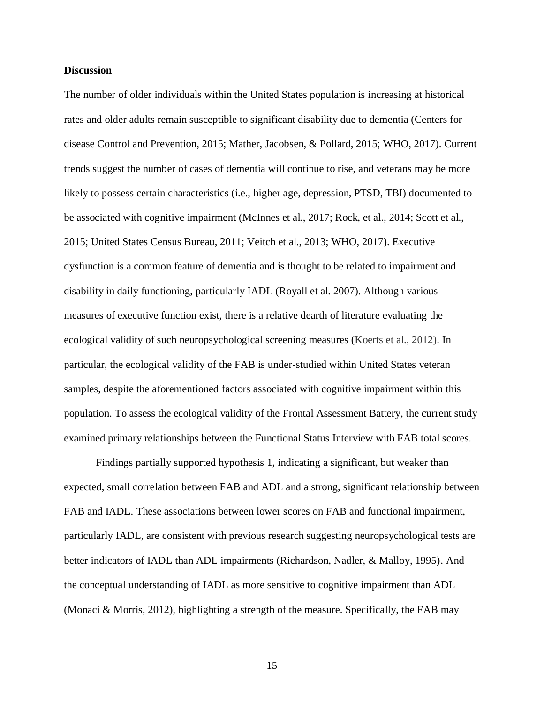#### **Discussion**

The number of older individuals within the United States population is increasing at historical rates and older adults remain susceptible to significant disability due to dementia (Centers for disease Control and Prevention, 2015; Mather, Jacobsen, & Pollard, 2015; WHO, 2017). Current trends suggest the number of cases of dementia will continue to rise, and veterans may be more likely to possess certain characteristics (i.e., higher age, depression, PTSD, TBI) documented to be associated with cognitive impairment (McInnes et al., 2017; Rock, et al., 2014; Scott et al., 2015; United States Census Bureau, 2011; Veitch et al., 2013; WHO, 2017). Executive dysfunction is a common feature of dementia and is thought to be related to impairment and disability in daily functioning, particularly IADL (Royall et al. 2007). Although various measures of executive function exist, there is a relative dearth of literature evaluating the ecological validity of such neuropsychological screening measures (Koerts et al., 2012). In particular, the ecological validity of the FAB is under-studied within United States veteran samples, despite the aforementioned factors associated with cognitive impairment within this population. To assess the ecological validity of the Frontal Assessment Battery, the current study examined primary relationships between the Functional Status Interview with FAB total scores.

Findings partially supported hypothesis 1, indicating a significant, but weaker than expected, small correlation between FAB and ADL and a strong, significant relationship between FAB and IADL. These associations between lower scores on FAB and functional impairment, particularly IADL, are consistent with previous research suggesting neuropsychological tests are better indicators of IADL than ADL impairments (Richardson, Nadler, & Malloy, 1995). And the conceptual understanding of IADL as more sensitive to cognitive impairment than ADL (Monaci & Morris, 2012), highlighting a strength of the measure. Specifically, the FAB may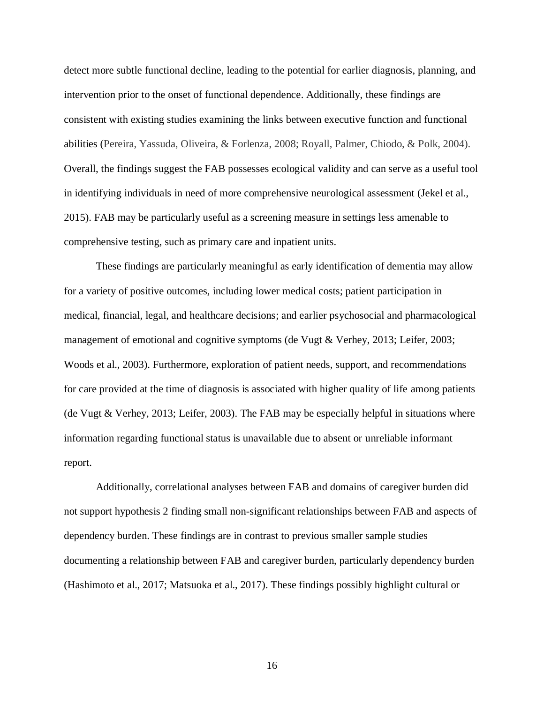detect more subtle functional decline, leading to the potential for earlier diagnosis, planning, and intervention prior to the onset of functional dependence. Additionally, these findings are consistent with existing studies examining the links between executive function and functional abilities (Pereira, Yassuda, Oliveira, & Forlenza, 2008; Royall, Palmer, Chiodo, & Polk, 2004). Overall, the findings suggest the FAB possesses ecological validity and can serve as a useful tool in identifying individuals in need of more comprehensive neurological assessment (Jekel et al., 2015). FAB may be particularly useful as a screening measure in settings less amenable to comprehensive testing, such as primary care and inpatient units.

These findings are particularly meaningful as early identification of dementia may allow for a variety of positive outcomes, including lower medical costs; patient participation in medical, financial, legal, and healthcare decisions; and earlier psychosocial and pharmacological management of emotional and cognitive symptoms (de Vugt & Verhey, 2013; Leifer, 2003; Woods et al., 2003). Furthermore, exploration of patient needs, support, and recommendations for care provided at the time of diagnosis is associated with higher quality of life among patients (de Vugt & Verhey, 2013; Leifer, 2003). The FAB may be especially helpful in situations where information regarding functional status is unavailable due to absent or unreliable informant report.

Additionally, correlational analyses between FAB and domains of caregiver burden did not support hypothesis 2 finding small non-significant relationships between FAB and aspects of dependency burden. These findings are in contrast to previous smaller sample studies documenting a relationship between FAB and caregiver burden, particularly dependency burden (Hashimoto et al., 2017; Matsuoka et al., 2017). These findings possibly highlight cultural or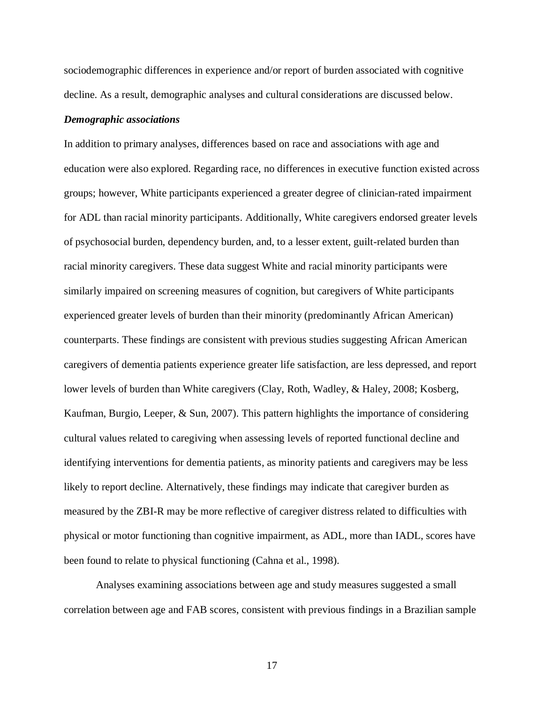sociodemographic differences in experience and/or report of burden associated with cognitive decline. As a result, demographic analyses and cultural considerations are discussed below.

#### *Demographic associations*

In addition to primary analyses, differences based on race and associations with age and education were also explored. Regarding race, no differences in executive function existed across groups; however, White participants experienced a greater degree of clinician-rated impairment for ADL than racial minority participants. Additionally, White caregivers endorsed greater levels of psychosocial burden, dependency burden, and, to a lesser extent, guilt-related burden than racial minority caregivers. These data suggest White and racial minority participants were similarly impaired on screening measures of cognition, but caregivers of White participants experienced greater levels of burden than their minority (predominantly African American) counterparts. These findings are consistent with previous studies suggesting African American caregivers of dementia patients experience greater life satisfaction, are less depressed, and report lower levels of burden than White caregivers (Clay, Roth, Wadley, & Haley, 2008; Kosberg, Kaufman, Burgio, Leeper, & Sun, 2007). This pattern highlights the importance of considering cultural values related to caregiving when assessing levels of reported functional decline and identifying interventions for dementia patients, as minority patients and caregivers may be less likely to report decline. Alternatively, these findings may indicate that caregiver burden as measured by the ZBI-R may be more reflective of caregiver distress related to difficulties with physical or motor functioning than cognitive impairment, as ADL, more than IADL, scores have been found to relate to physical functioning (Cahna et al., 1998).

Analyses examining associations between age and study measures suggested a small correlation between age and FAB scores, consistent with previous findings in a Brazilian sample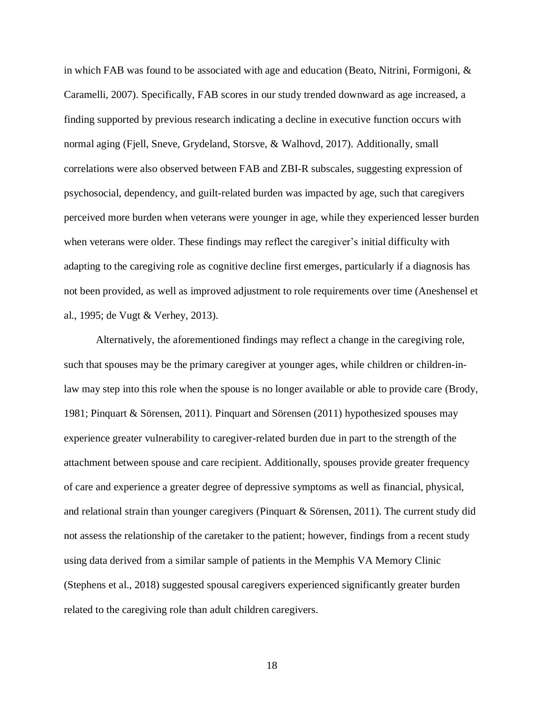in which FAB was found to be associated with age and education (Beato, Nitrini, Formigoni,  $\&$ Caramelli, 2007). Specifically, FAB scores in our study trended downward as age increased, a finding supported by previous research indicating a decline in executive function occurs with normal aging (Fjell, Sneve, Grydeland, Storsve, & Walhovd, 2017). Additionally, small correlations were also observed between FAB and ZBI-R subscales, suggesting expression of psychosocial, dependency, and guilt-related burden was impacted by age, such that caregivers perceived more burden when veterans were younger in age, while they experienced lesser burden when veterans were older. These findings may reflect the caregiver's initial difficulty with adapting to the caregiving role as cognitive decline first emerges, particularly if a diagnosis has not been provided, as well as improved adjustment to role requirements over time (Aneshensel et al., 1995; de Vugt & Verhey, 2013).

Alternatively, the aforementioned findings may reflect a change in the caregiving role, such that spouses may be the primary caregiver at younger ages, while children or children-inlaw may step into this role when the spouse is no longer available or able to provide care (Brody, 1981; Pinquart & Sörensen, 2011). Pinquart and Sörensen (2011) hypothesized spouses may experience greater vulnerability to caregiver-related burden due in part to the strength of the attachment between spouse and care recipient. Additionally, spouses provide greater frequency of care and experience a greater degree of depressive symptoms as well as financial, physical, and relational strain than younger caregivers (Pinquart & Sörensen, 2011). The current study did not assess the relationship of the caretaker to the patient; however, findings from a recent study using data derived from a similar sample of patients in the Memphis VA Memory Clinic (Stephens et al., 2018) suggested spousal caregivers experienced significantly greater burden related to the caregiving role than adult children caregivers.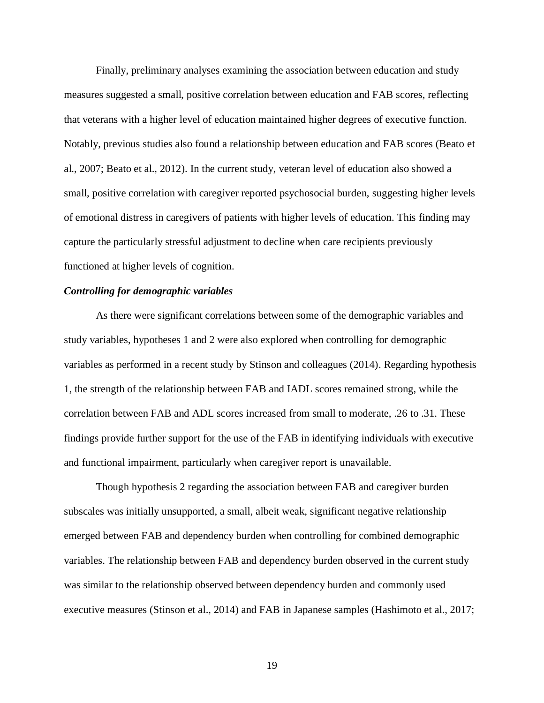Finally, preliminary analyses examining the association between education and study measures suggested a small, positive correlation between education and FAB scores, reflecting that veterans with a higher level of education maintained higher degrees of executive function. Notably, previous studies also found a relationship between education and FAB scores (Beato et al., 2007; Beato et al., 2012). In the current study, veteran level of education also showed a small, positive correlation with caregiver reported psychosocial burden, suggesting higher levels of emotional distress in caregivers of patients with higher levels of education. This finding may capture the particularly stressful adjustment to decline when care recipients previously functioned at higher levels of cognition.

#### *Controlling for demographic variables*

As there were significant correlations between some of the demographic variables and study variables, hypotheses 1 and 2 were also explored when controlling for demographic variables as performed in a recent study by Stinson and colleagues (2014). Regarding hypothesis 1, the strength of the relationship between FAB and IADL scores remained strong, while the correlation between FAB and ADL scores increased from small to moderate, .26 to .31. These findings provide further support for the use of the FAB in identifying individuals with executive and functional impairment, particularly when caregiver report is unavailable.

Though hypothesis 2 regarding the association between FAB and caregiver burden subscales was initially unsupported, a small, albeit weak, significant negative relationship emerged between FAB and dependency burden when controlling for combined demographic variables. The relationship between FAB and dependency burden observed in the current study was similar to the relationship observed between dependency burden and commonly used executive measures (Stinson et al., 2014) and FAB in Japanese samples (Hashimoto et al., 2017;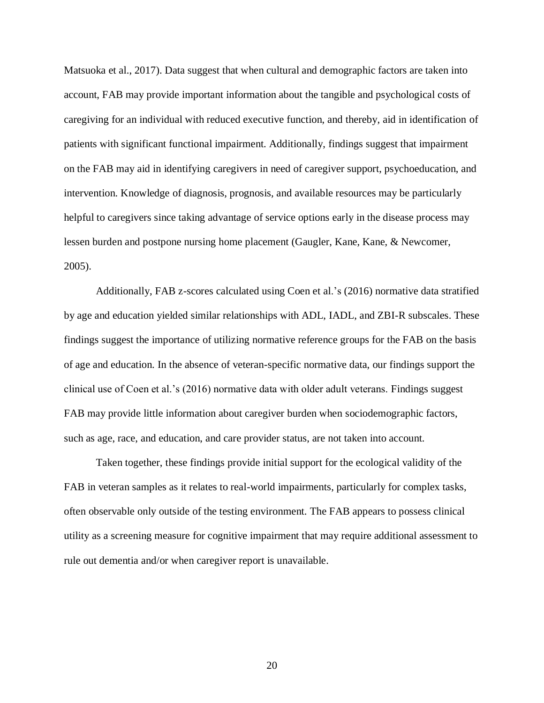Matsuoka et al., 2017). Data suggest that when cultural and demographic factors are taken into account, FAB may provide important information about the tangible and psychological costs of caregiving for an individual with reduced executive function, and thereby, aid in identification of patients with significant functional impairment. Additionally, findings suggest that impairment on the FAB may aid in identifying caregivers in need of caregiver support, psychoeducation, and intervention. Knowledge of diagnosis, prognosis, and available resources may be particularly helpful to caregivers since taking advantage of service options early in the disease process may lessen burden and postpone nursing home placement (Gaugler, Kane, Kane, & Newcomer, 2005).

Additionally, FAB z-scores calculated using Coen et al.'s (2016) normative data stratified by age and education yielded similar relationships with ADL, IADL, and ZBI-R subscales. These findings suggest the importance of utilizing normative reference groups for the FAB on the basis of age and education. In the absence of veteran-specific normative data, our findings support the clinical use of Coen et al.'s (2016) normative data with older adult veterans. Findings suggest FAB may provide little information about caregiver burden when sociodemographic factors, such as age, race, and education, and care provider status, are not taken into account.

Taken together, these findings provide initial support for the ecological validity of the FAB in veteran samples as it relates to real-world impairments, particularly for complex tasks, often observable only outside of the testing environment. The FAB appears to possess clinical utility as a screening measure for cognitive impairment that may require additional assessment to rule out dementia and/or when caregiver report is unavailable.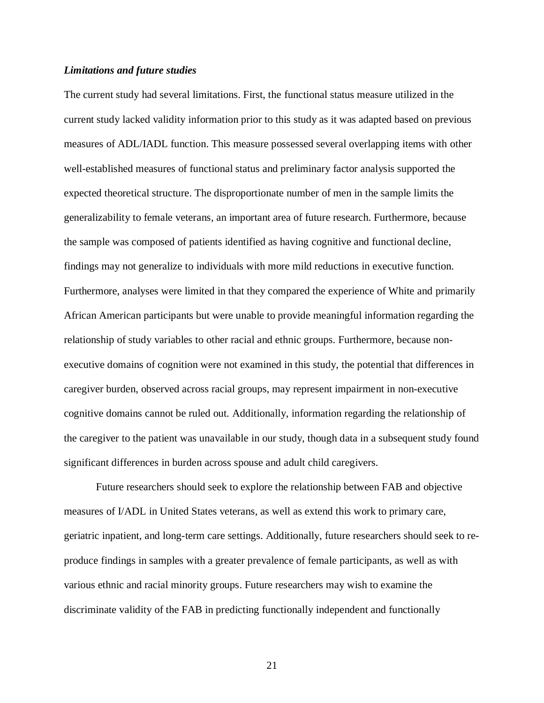#### *Limitations and future studies*

The current study had several limitations. First, the functional status measure utilized in the current study lacked validity information prior to this study as it was adapted based on previous measures of ADL/IADL function. This measure possessed several overlapping items with other well-established measures of functional status and preliminary factor analysis supported the expected theoretical structure. The disproportionate number of men in the sample limits the generalizability to female veterans, an important area of future research. Furthermore, because the sample was composed of patients identified as having cognitive and functional decline, findings may not generalize to individuals with more mild reductions in executive function. Furthermore, analyses were limited in that they compared the experience of White and primarily African American participants but were unable to provide meaningful information regarding the relationship of study variables to other racial and ethnic groups. Furthermore, because nonexecutive domains of cognition were not examined in this study, the potential that differences in caregiver burden, observed across racial groups, may represent impairment in non-executive cognitive domains cannot be ruled out. Additionally, information regarding the relationship of the caregiver to the patient was unavailable in our study, though data in a subsequent study found significant differences in burden across spouse and adult child caregivers.

Future researchers should seek to explore the relationship between FAB and objective measures of I/ADL in United States veterans, as well as extend this work to primary care, geriatric inpatient, and long-term care settings. Additionally, future researchers should seek to reproduce findings in samples with a greater prevalence of female participants, as well as with various ethnic and racial minority groups. Future researchers may wish to examine the discriminate validity of the FAB in predicting functionally independent and functionally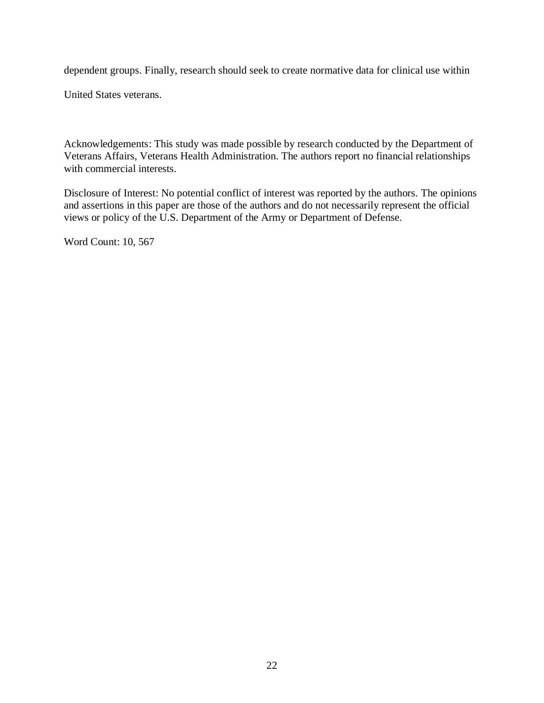dependent groups. Finally, research should seek to create normative data for clinical use within

United States veterans.

Acknowledgements: This study was made possible by research conducted by the Department of Veterans Affairs, Veterans Health Administration. The authors report no financial relationships with commercial interests.

Disclosure of Interest: No potential conflict of interest was reported by the authors. The opinions and assertions in this paper are those of the authors and do not necessarily represent the official views or policy of the U.S. Department of the Army or Department of Defense.

Word Count: 10, 567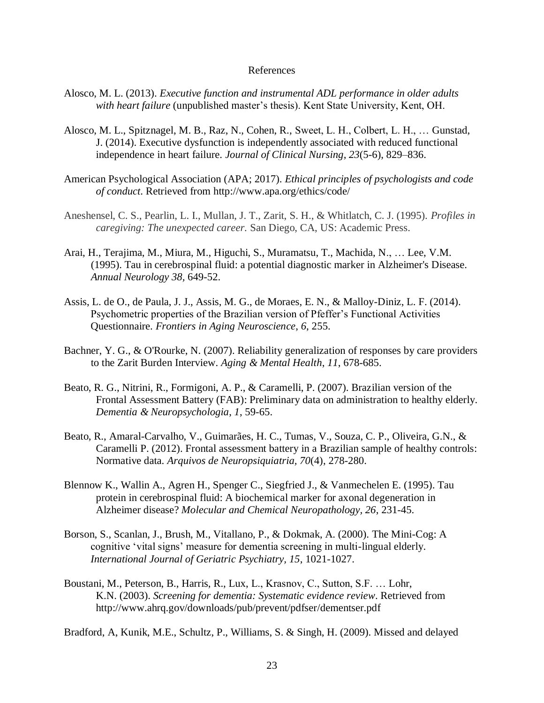#### References

- Alosco, M. L. (2013). *Executive function and instrumental ADL performance in older adults with heart failure* (unpublished master's thesis). Kent State University, Kent, OH.
- Alosco, M. L., Spitznagel, M. B., Raz, N., Cohen, R., Sweet, L. H., Colbert, L. H., … Gunstad, J. (2014). Executive dysfunction is independently associated with reduced functional independence in heart failure. *Journal of Clinical Nursing*, *23*(5-6), 829–836.
- American Psychological Association (APA; 2017). *Ethical principles of psychologists and code of conduct*. Retrieved from http://www.apa.org/ethics/code/
- Aneshensel, C. S., Pearlin, L. I., Mullan, J. T., Zarit, S. H., & Whitlatch, C. J. (1995). *Profiles in caregiving: The unexpected career.* San Diego, CA, US: Academic Press.
- Arai, H., Terajima, M., Miura, M., Higuchi, S., Muramatsu, T., Machida, N., … Lee, V.M. (1995). Tau in cerebrospinal fluid: a potential diagnostic marker in Alzheimer's Disease. *Annual Neurology 38,* 649-52.
- Assis, L. de O., de Paula, J. J., Assis, M. G., de Moraes, E. N., & Malloy-Diniz, L. F. (2014). Psychometric properties of the Brazilian version of Pfeffer's Functional Activities Questionnaire. *Frontiers in Aging Neuroscience*, *6*, 255.
- Bachner, Y. G., & O'Rourke, N. (2007). Reliability generalization of responses by care providers to the Zarit Burden Interview. *Aging & Mental Health*, *11*, 678-685.
- Beato, R. G., Nitrini, R., Formigoni, A. P., & Caramelli, P. (2007). Brazilian version of the Frontal Assessment Battery (FAB): Preliminary data on administration to healthy elderly. *Dementia & Neuropsychologia*, *1*, 59-65.
- Beato, R., Amaral-Carvalho, V., Guimarães, H. C., Tumas, V., Souza, C. P., Oliveira, G.N., & Caramelli P. (2012). Frontal assessment battery in a Brazilian sample of healthy controls: Normative data. *Arquivos de Neuropsiquiatria, 70*(4), 278-280.
- Blennow K., Wallin A., Agren H., Spenger C., Siegfried J., & Vanmechelen E. (1995). Tau protein in cerebrospinal fluid: A biochemical marker for axonal degeneration in Alzheimer disease? *Molecular and Chemical Neuropathology, 26*, 231-45.
- Borson, S., Scanlan, J., Brush, M., Vitallano, P., & Dokmak, A. (2000). The Mini-Cog: A cognitive 'vital signs' measure for dementia screening in multi-lingual elderly. *International Journal of Geriatric Psychiatry, 15*, 1021-1027.
- Boustani, M., Peterson, B., Harris, R., Lux, L., Krasnov, C., Sutton, S.F. … Lohr, K.N. (2003). *Screening for dementia: Systematic evidence review*. Retrieved from http://www.ahrq.gov/downloads/pub/prevent/pdfser/dementser.pdf

Bradford, A, Kunik, M.E., Schultz, P., Williams, S. & Singh, H. (2009). Missed and delayed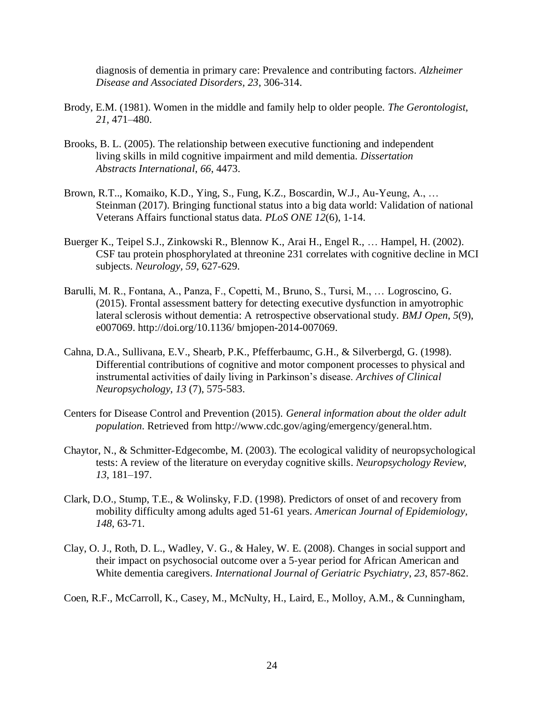diagnosis of dementia in primary care: Prevalence and contributing factors. *Alzheimer Disease and Associated Disorders, 23*, 306-314.

- Brody, E.M. (1981). Women in the middle and family help to older people. *The Gerontologist, 21*, 471–480.
- Brooks, B. L. (2005). The relationship between executive functioning and independent living skills in mild cognitive impairment and mild dementia. *Dissertation Abstracts International*, *66*, 4473.
- Brown, R.T.., Komaiko, K.D., Ying, S., Fung, K.Z., Boscardin, W.J., Au-Yeung, A., … Steinman (2017). Bringing functional status into a big data world: Validation of national Veterans Affairs functional status data. *PLoS ONE 12*(6), 1-14.
- Buerger K., Teipel S.J., Zinkowski R., Blennow K., Arai H., Engel R., … Hampel, H. (2002). CSF tau protein phosphorylated at threonine 231 correlates with cognitive decline in MCI subjects. *Neurology, 59*, 627-629.
- Barulli, M. R., Fontana, A., Panza, F., Copetti, M., Bruno, S., Tursi, M., … Logroscino, G. (2015). Frontal assessment battery for detecting executive dysfunction in amyotrophic lateral sclerosis without dementia: A retrospective observational study. *BMJ Open*, *5*(9), e007069. http://doi.org/10.1136/ bmjopen-2014-007069.
- Cahna, D.A., Sullivana, E.V., Shearb, P.K., Pfefferbaumc, G.H., & Silverbergd, G. (1998). Differential contributions of cognitive and motor component processes to physical and instrumental activities of daily living in Parkinson's disease. *Archives of Clinical Neuropsychology, 13* (7), 575-583.
- Centers for Disease Control and Prevention (2015). *General information about the older adult population*. Retrieved from http://www.cdc.gov/aging/emergency/general.htm.
- Chaytor, N., & Schmitter-Edgecombe, M. (2003). The ecological validity of neuropsychological tests: A review of the literature on everyday cognitive skills. *Neuropsychology Review, 13*, 181–197.
- Clark, D.O., Stump, T.E., & Wolinsky, F.D. (1998). Predictors of onset of and recovery from mobility difficulty among adults aged 51-61 years. *American Journal of Epidemiology, 148*, 63-71.
- Clay, O. J., Roth, D. L., Wadley, V. G., & Haley, W. E. (2008). Changes in social support and their impact on psychosocial outcome over a 5‐year period for African American and White dementia caregivers. *International Journal of Geriatric Psychiatry*, *23*, 857-862.
- Coen, R.F., McCarroll, K., Casey, M., McNulty, H., Laird, E., Molloy, A.M., & Cunningham,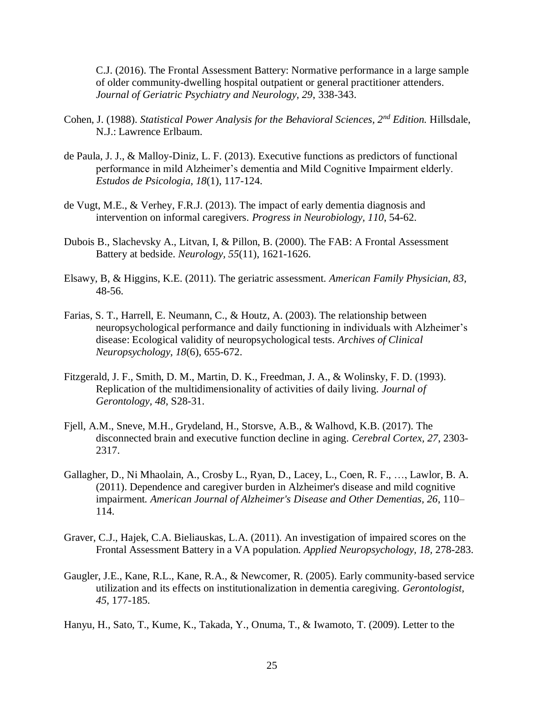C.J. (2016). The Frontal Assessment Battery: Normative performance in a large sample of older community-dwelling hospital outpatient or general practitioner attenders. *Journal of Geriatric Psychiatry and Neurology, 29*, 338-343.

- Cohen, J. (1988). *Statistical Power Analysis for the Behavioral Sciences, 2nd Edition.* Hillsdale, N.J.: Lawrence Erlbaum.
- de Paula, J. J., & Malloy-Diniz, L. F. (2013). Executive functions as predictors of functional performance in mild Alzheimer's dementia and Mild Cognitive Impairment elderly. *Estudos de Psicologia, 18*(1), 117-124.
- de Vugt, M.E., & Verhey, F.R.J. (2013). The impact of early dementia diagnosis and intervention on informal caregivers. *Progress in Neurobiology, 110*, 54-62.
- Dubois B., Slachevsky A., Litvan, I, & Pillon, B. (2000). The FAB: A Frontal Assessment Battery at bedside. *Neurology, 55*(11), 1621-1626.
- Elsawy, B, & Higgins, K.E. (2011). The geriatric assessment. *American Family Physician, 83*, 48-56.
- Farias, S. T., Harrell, E. Neumann, C., & Houtz, A. (2003). The relationship between neuropsychological performance and daily functioning in individuals with Alzheimer's disease: Ecological validity of neuropsychological tests. *Archives of Clinical Neuropsychology, 18*(6), 655-672.
- Fitzgerald, J. F., Smith, D. M., Martin, D. K., Freedman, J. A., & Wolinsky, F. D. (1993). Replication of the multidimensionality of activities of daily living. *Journal of Gerontology, 48*, S28-31.
- Fjell, A.M., Sneve, M.H., Grydeland, H., Storsve, A.B., & Walhovd, K.B. (2017). The disconnected brain and executive function decline in aging. *Cerebral Cortex, 27*, 2303- 2317.
- Gallagher, D., Ni Mhaolain, A., Crosby L., Ryan, D., Lacey, L., Coen, R. F., …, Lawlor, B. A. (2011). Dependence and caregiver burden in Alzheimer's disease and mild cognitive impairment*. American Journal of Alzheimer's Disease and Other Dementias, 26*, 110– 114.
- Graver, C.J., Hajek, C.A. Bieliauskas, L.A. (2011). An investigation of impaired scores on the Frontal Assessment Battery in a VA population. *Applied Neuropsychology, 18,* 278-283.
- Gaugler, J.E., Kane, R.L., Kane, R.A., & Newcomer, R. (2005). Early community-based service utilization and its effects on institutionalization in dementia caregiving. *Gerontologist, 45*, 177-185.

Hanyu, H., Sato, T., Kume, K., Takada, Y., Onuma, T., & Iwamoto, T. (2009). Letter to the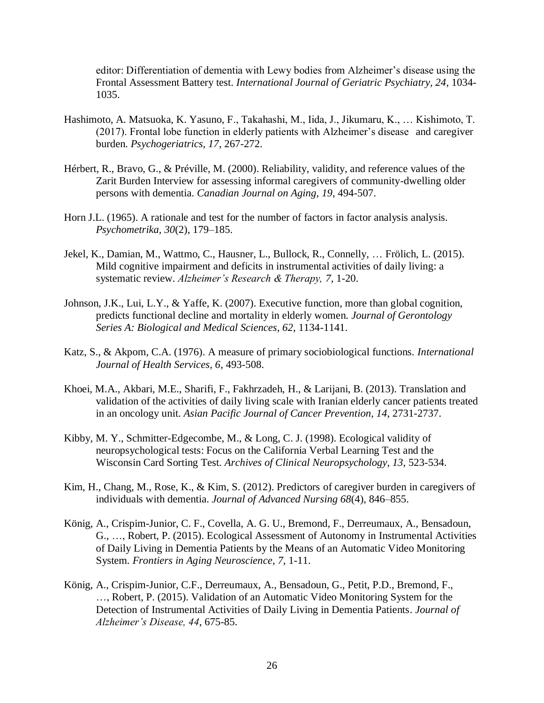editor: Differentiation of dementia with Lewy bodies from Alzheimer's disease using the Frontal Assessment Battery test. *International Journal of Geriatric Psychiatry, 24*, 1034- 1035.

- Hashimoto, A. Matsuoka, K. Yasuno, F., Takahashi, M., Iida, J., Jikumaru, K., … Kishimoto, T. (2017). Frontal lobe function in elderly patients with Alzheimer's disease and caregiver burden. *Psychogeriatrics, 17*, 267-272.
- Hérbert, R., Bravo, G., & Préville, M. (2000). Reliability, validity, and reference values of the Zarit Burden Interview for assessing informal caregivers of community-dwelling older persons with dementia. *Canadian Journal on Aging, 19*, 494-507.
- Horn J.L. (1965). A rationale and test for the number of factors in factor analysis analysis. *Psychometrika, 30*(2), 179–185.
- Jekel, K., Damian, M., Wattmo, C., Hausner, L., Bullock, R., Connelly, … Frölich, L. (2015). Mild cognitive impairment and deficits in instrumental activities of daily living: a systematic review. *Alzheimer's Research & Therapy, 7*, 1-20.
- Johnson, J.K., Lui, L.Y., & Yaffe, K. (2007). Executive function, more than global cognition, predicts functional decline and mortality in elderly women*. Journal of Gerontology Series A: Biological and Medical Sciences, 62*, 1134-1141.
- Katz, S., & Akpom, C.A. (1976). A measure of primary sociobiological functions. *International Journal of Health Services, 6*, 493-508.
- Khoei, M.A., Akbari, M.E., Sharifi, F., Fakhrzadeh, H., & Larijani, B. (2013). Translation and validation of the activities of daily living scale with Iranian elderly cancer patients treated in an oncology unit. *Asian Pacific Journal of Cancer Prevention, 14*, 2731-2737.
- Kibby, M. Y., Schmitter-Edgecombe, M., & Long, C. J. (1998). Ecological validity of neuropsychological tests: Focus on the California Verbal Learning Test and the Wisconsin Card Sorting Test. *Archives of Clinical Neuropsychology, 13*, 523-534.
- Kim, H., Chang, M., Rose, K., & Kim, S. (2012). Predictors of caregiver burden in caregivers of individuals with dementia. *Journal of Advanced Nursing 68*(4), 846–855.
- König, A., Crispim-Junior, C. F., Covella, A. G. U., Bremond, F., Derreumaux, A., Bensadoun, G., …, Robert, P. (2015). Ecological Assessment of Autonomy in Instrumental Activities of Daily Living in Dementia Patients by the Means of an Automatic Video Monitoring System. *Frontiers in Aging Neuroscience*, *7*, 1-11.
- König, A., Crispim-Junior, C.F., Derreumaux, A., Bensadoun, G., Petit, P.D., Bremond, F., …, Robert, P. (2015). Validation of an Automatic Video Monitoring System for the Detection of Instrumental Activities of Daily Living in Dementia Patients. *Journal of Alzheimer's Disease, 44*, 675-85.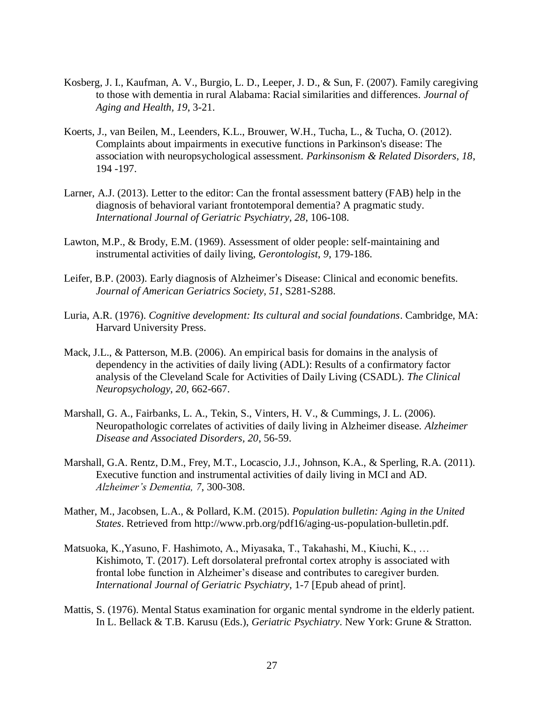- Kosberg, J. I., Kaufman, A. V., Burgio, L. D., Leeper, J. D., & Sun, F. (2007). Family caregiving to those with dementia in rural Alabama: Racial similarities and differences. *Journal of Aging and Health, 19*, 3-21.
- Koerts, J., van Beilen, M., Leenders, K.L., Brouwer, W.H., Tucha, L., & Tucha, O. (2012). Complaints about impairments in executive functions in Parkinson's disease: The association with neuropsychological assessment*. Parkinsonism & Related Disorders, 18*, 194 -197.
- Larner, A.J. (2013). Letter to the editor: Can the frontal assessment battery (FAB) help in the diagnosis of behavioral variant frontotemporal dementia? A pragmatic study. *International Journal of Geriatric Psychiatry, 28*, 106-108.
- Lawton, M.P., & Brody, E.M. (1969). Assessment of older people: self-maintaining and instrumental activities of daily living, *Gerontologist*, *9*, 179-186.
- Leifer, B.P. (2003). Early diagnosis of Alzheimer's Disease: Clinical and economic benefits. *Journal of American Geriatrics Society, 51*, S281-S288.
- Luria, A.R. (1976). *Cognitive development: Its cultural and social foundations*. Cambridge, MA: Harvard University Press.
- Mack, J.L., & Patterson, M.B. (2006). An empirical basis for domains in the analysis of dependency in the activities of daily living (ADL): Results of a confirmatory factor analysis of the Cleveland Scale for Activities of Daily Living (CSADL). *The Clinical Neuropsychology, 20*, 662-667.
- Marshall, G. A., Fairbanks, L. A., Tekin, S., Vinters, H. V., & Cummings, J. L. (2006). Neuropathologic correlates of activities of daily living in Alzheimer disease. *Alzheimer Disease and Associated Disorders, 20*, 56-59.
- Marshall, G.A. Rentz, D.M., Frey, M.T., Locascio, J.J., Johnson, K.A., & Sperling, R.A. (2011). Executive function and instrumental activities of daily living in MCI and AD. *Alzheimer's Dementia, 7*, 300-308.
- Mather, M., Jacobsen, L.A., & Pollard, K.M. (2015). *Population bulletin: Aging in the United States*. Retrieved from http://www.prb.org/pdf16/aging-us-population-bulletin.pdf.
- Matsuoka, K.,Yasuno, F. Hashimoto, A., Miyasaka, T., Takahashi, M., Kiuchi, K., … Kishimoto, T. (2017). Left dorsolateral prefrontal cortex atrophy is associated with frontal lobe function in Alzheimer's disease and contributes to caregiver burden. *International Journal of Geriatric Psychiatry*, 1-7 [Epub ahead of print].
- Mattis, S. (1976). Mental Status examination for organic mental syndrome in the elderly patient. In L. Bellack & T.B. Karusu (Eds.), *Geriatric Psychiatry*. New York: Grune & Stratton.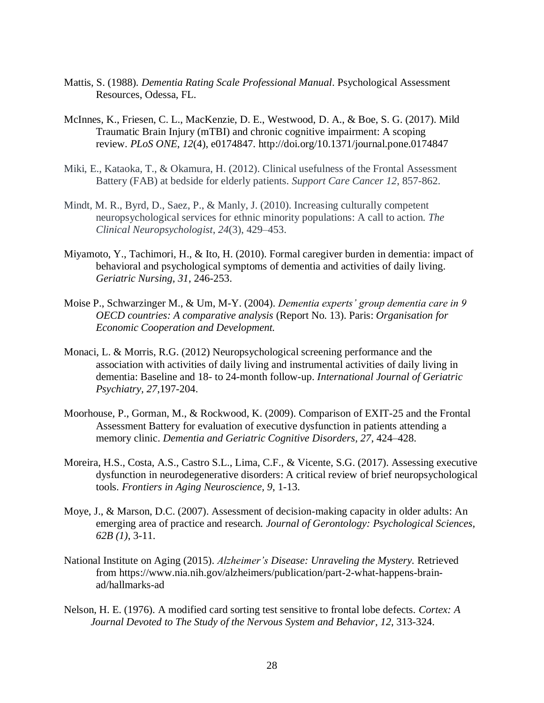- Mattis, S. (1988)*. Dementia Rating Scale Professional Manual*. Psychological Assessment Resources, Odessa, FL.
- McInnes, K., Friesen, C. L., MacKenzie, D. E., Westwood, D. A., & Boe, S. G. (2017). Mild Traumatic Brain Injury (mTBI) and chronic cognitive impairment: A scoping review. *PLoS ONE*, *12*(4), e0174847. http://doi.org/10.1371/journal.pone.0174847
- Miki, E., Kataoka, T., & Okamura, H. (2012). Clinical usefulness of the Frontal Assessment Battery (FAB) at bedside for elderly patients. *Support Care Cancer 12*, 857-862.
- Mindt, M. R., Byrd, D., Saez, P., & Manly, J. (2010). Increasing culturally competent neuropsychological services for ethnic minority populations: A call to action. *The Clinical Neuropsychologist*, *24*(3), 429–453.
- Miyamoto, Y., Tachimori, H., & Ito, H. (2010). Formal caregiver burden in dementia: impact of behavioral and psychological symptoms of dementia and activities of daily living. *Geriatric Nursing, 31*, 246-253.
- Moise P., Schwarzinger M., & Um, M-Y. (2004). *Dementia experts' group dementia care in 9 OECD countries: A comparative analysis* (Report No. 13). Paris: *Organisation for Economic Cooperation and Development.*
- Monaci, L. & Morris, R.G. (2012) Neuropsychological screening performance and the association with activities of daily living and instrumental activities of daily living in dementia: Baseline and 18- to 24-month follow-up. *International Journal of Geriatric Psychiatry, 27*,197-204.
- Moorhouse, P., Gorman, M., & Rockwood, K. (2009). Comparison of EXIT-25 and the Frontal Assessment Battery for evaluation of executive dysfunction in patients attending a memory clinic. *Dementia and Geriatric Cognitive Disorders, 27*, 424–428.
- Moreira, H.S., Costa, A.S., Castro S.L., Lima, C.F., & Vicente, S.G. (2017). Assessing executive dysfunction in neurodegenerative disorders: A critical review of brief neuropsychological tools. *Frontiers in Aging Neuroscience, 9*, 1-13.
- Moye, J., & Marson, D.C. (2007). Assessment of decision-making capacity in older adults: An emerging area of practice and research*. Journal of Gerontology: Psychological Sciences, 62B (1)*, 3-11.
- National Institute on Aging (2015). *Alzheimer's Disease: Unraveling the Mystery.* Retrieved from https://www.nia.nih.gov/alzheimers/publication/part-2-what-happens-brainad/hallmarks-ad
- Nelson, H. E. (1976). A modified card sorting test sensitive to frontal lobe defects. *Cortex: A Journal Devoted to The Study of the Nervous System and Behavior*, *12*, 313-324.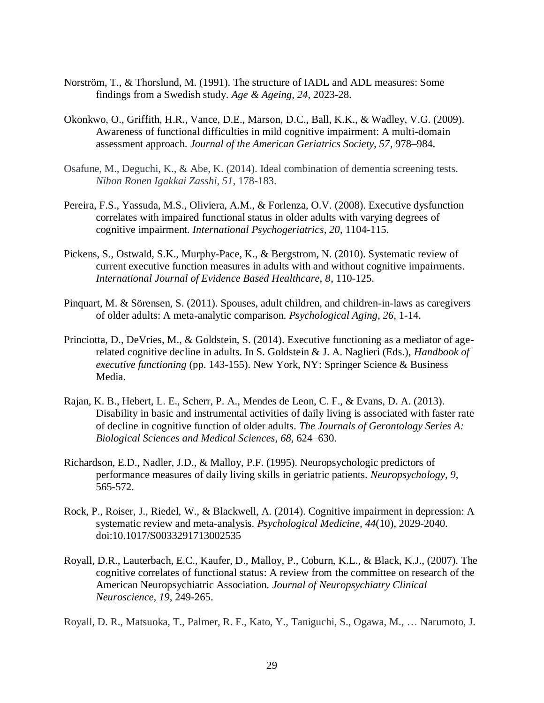- Norström, T., & Thorslund, M. (1991). The structure of IADL and ADL measures: Some findings from a Swedish study. *Age & Ageing*, *24*, 2023-28.
- Okonkwo, O., Griffith, H.R., Vance, D.E., Marson, D.C., Ball, K.K., & Wadley, V.G. (2009). Awareness of functional difficulties in mild cognitive impairment: A multi-domain assessment approach. *Journal of the American Geriatrics Society, 57*, 978–984.
- Osafune, M., Deguchi, K., & Abe, K. (2014). Ideal combination of dementia screening tests. *Nihon Ronen Igakkai Zasshi, 51*, 178-183.
- Pereira, F.S., Yassuda, M.S., Oliviera, A.M., & Forlenza, O.V. (2008). Executive dysfunction correlates with impaired functional status in older adults with varying degrees of cognitive impairment*. International Psychogeriatrics, 20*, 1104-115.
- Pickens, S., Ostwald, S.K., Murphy-Pace, K., & Bergstrom, N. (2010). Systematic review of current executive function measures in adults with and without cognitive impairments. *International Journal of Evidence Based Healthcare, 8*, 110-125.
- Pinquart, M. & Sörensen, S. (2011). Spouses, adult children, and children-in-laws as caregivers of older adults: A meta-analytic comparison. *Psychological Aging, 26*, 1-14.
- Princiotta, D., DeVries, M., & Goldstein, S. (2014). Executive functioning as a mediator of agerelated cognitive decline in adults. In S. Goldstein & J. A. Naglieri (Eds.), *Handbook of executive functioning* (pp. 143-155). New York, NY: Springer Science & Business Media.
- Rajan, K. B., Hebert, L. E., Scherr, P. A., Mendes de Leon, C. F., & Evans, D. A. (2013). Disability in basic and instrumental activities of daily living is associated with faster rate of decline in cognitive function of older adults. *The Journals of Gerontology Series A: Biological Sciences and Medical Sciences*, *68*, 624–630.
- Richardson, E.D., Nadler, J.D., & Malloy, P.F. (1995). Neuropsychologic predictors of performance measures of daily living skills in geriatric patients. *Neuropsychology, 9*, 565-572.
- Rock, P., Roiser, J., Riedel, W., & Blackwell, A. (2014). Cognitive impairment in depression: A systematic review and meta-analysis. *Psychological Medicine, 44*(10), 2029-2040. doi:10.1017/S0033291713002535
- Royall, D.R., Lauterbach, E.C., Kaufer, D., Malloy, P., Coburn, K.L., & Black, K.J., (2007). The cognitive correlates of functional status: A review from the committee on research of the American Neuropsychiatric Association. *Journal of Neuropsychiatry Clinical Neuroscience, 19*, 249-265.

Royall, D. R., Matsuoka, T., Palmer, R. F., Kato, Y., Taniguchi, S., Ogawa, M., … Narumoto, J.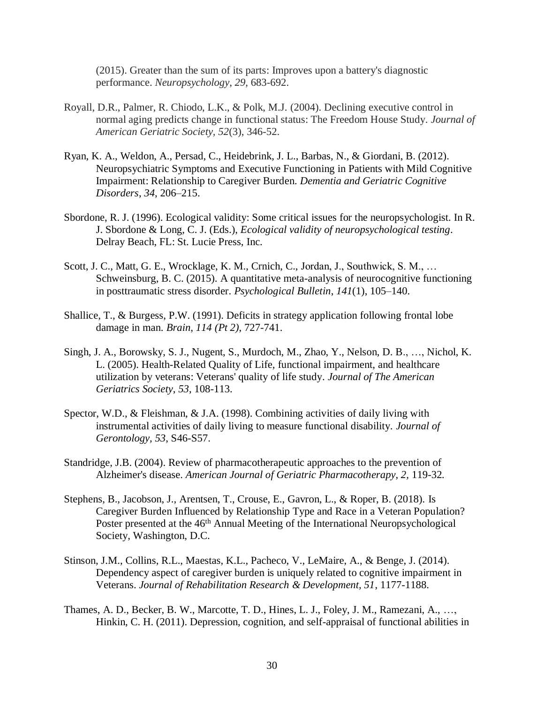(2015). Greater than the sum of its parts: Improves upon a battery's diagnostic performance. *Neuropsychology*, *29*, 683-692.

- Royall, D.R., Palmer, R. Chiodo, L.K., & Polk, M.J. (2004). Declining executive control in normal aging predicts change in functional status: The Freedom House Study. *Journal of American Geriatric Society, 52*(3), 346-52.
- Ryan, K. A., Weldon, A., Persad, C., Heidebrink, J. L., Barbas, N., & Giordani, B. (2012). Neuropsychiatric Symptoms and Executive Functioning in Patients with Mild Cognitive Impairment: Relationship to Caregiver Burden. *Dementia and Geriatric Cognitive Disorders*, *34*, 206–215.
- Sbordone, R. J. (1996). Ecological validity: Some critical issues for the neuropsychologist. In R. J. Sbordone & Long, C. J. (Eds.), *Ecological validity of neuropsychological testing*. Delray Beach, FL: St. Lucie Press, Inc.
- Scott, J. C., Matt, G. E., Wrocklage, K. M., Crnich, C., Jordan, J., Southwick, S. M., … Schweinsburg, B. C. (2015). A quantitative meta-analysis of neurocognitive functioning in posttraumatic stress disorder. *Psychological Bulletin*, *141*(1), 105–140.
- Shallice, T., & Burgess, P.W. (1991). Deficits in strategy application following frontal lobe damage in man. *Brain, 114 (Pt 2)*, 727-741.
- Singh, J. A., Borowsky, S. J., Nugent, S., Murdoch, M., Zhao, Y., Nelson, D. B., …, Nichol, K. L. (2005). Health-Related Quality of Life, functional impairment, and healthcare utilization by veterans: Veterans' quality of life study. *Journal of The American Geriatrics Society*, *53*, 108-113.
- Spector, W.D., & Fleishman, & J.A. (1998). Combining activities of daily living with instrumental activities of daily living to measure functional disability. *Journal of Gerontology, 53*, S46-S57.
- Standridge, J.B. (2004). Review of pharmacotherapeutic approaches to the prevention of Alzheimer's disease. *American Journal of Geriatric Pharmacotherapy, 2,* 119-32*.*
- Stephens, B., Jacobson, J., Arentsen, T., Crouse, E., Gavron, L., & Roper, B. (2018). Is Caregiver Burden Influenced by Relationship Type and Race in a Veteran Population? Poster presented at the 46<sup>th</sup> Annual Meeting of the International Neuropsychological Society, Washington, D.C.
- Stinson, J.M., Collins, R.L., Maestas, K.L., Pacheco, V., LeMaire, A., & Benge, J. (2014). Dependency aspect of caregiver burden is uniquely related to cognitive impairment in Veterans. *Journal of Rehabilitation Research & Development, 51*, 1177-1188.
- Thames, A. D., Becker, B. W., Marcotte, T. D., Hines, L. J., Foley, J. M., Ramezani, A., …, Hinkin, C. H. (2011). Depression, cognition, and self-appraisal of functional abilities in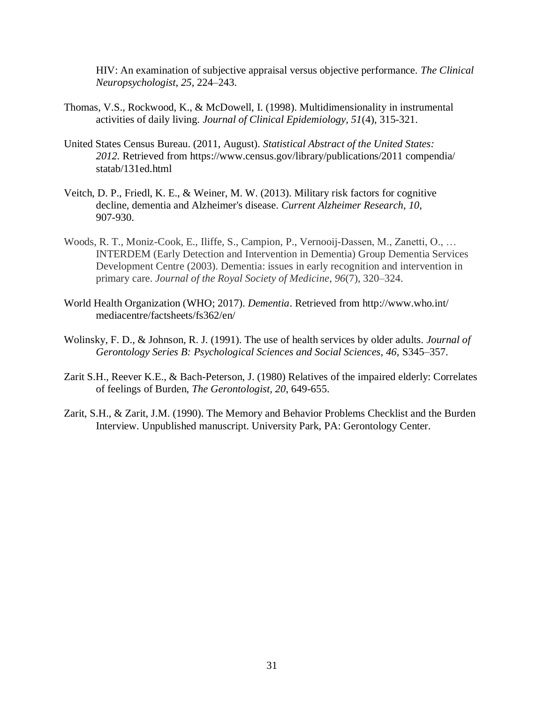HIV: An examination of subjective appraisal versus objective performance. *The Clinical Neuropsychologist*, *25*, 224–243.

- Thomas, V.S., Rockwood, K., & McDowell, I. (1998). Multidimensionality in instrumental activities of daily living. *Journal of Clinical Epidemiology, 51*(4), 315-321.
- United States Census Bureau. (2011, August). *Statistical Abstract of the United States: 2012.* Retrieved from https://www.census.gov/library/publications/2011 compendia/ statab/131ed.html
- Veitch, D. P., Friedl, K. E., & Weiner, M. W. (2013). Military risk factors for cognitive decline, dementia and Alzheimer's disease. *Current Alzheimer Research*, *10*, 907-930.
- Woods, R. T., Moniz-Cook, E., Iliffe, S., Campion, P., Vernooij-Dassen, M., Zanetti, O., … INTERDEM (Early Detection and Intervention in Dementia) Group Dementia Services Development Centre (2003). Dementia: issues in early recognition and intervention in primary care. *Journal of the Royal Society of Medicine*, *96*(7), 320–324.
- World Health Organization (WHO; 2017). *Dementia*. Retrieved from http://www.who.int/ mediacentre/factsheets/fs362/en/
- Wolinsky, F. D., & Johnson, R. J. (1991). The use of health services by older adults. *Journal of Gerontology Series B: Psychological Sciences and Social Sciences, 46,* S345–357.
- Zarit S.H., Reever K.E., & Bach-Peterson, J. (1980) Relatives of the impaired elderly: Correlates of feelings of Burden, *The Gerontologist, 20*, 649-655.
- Zarit, S.H., & Zarit, J.M. (1990). The Memory and Behavior Problems Checklist and the Burden Interview. Unpublished manuscript. University Park, PA: Gerontology Center.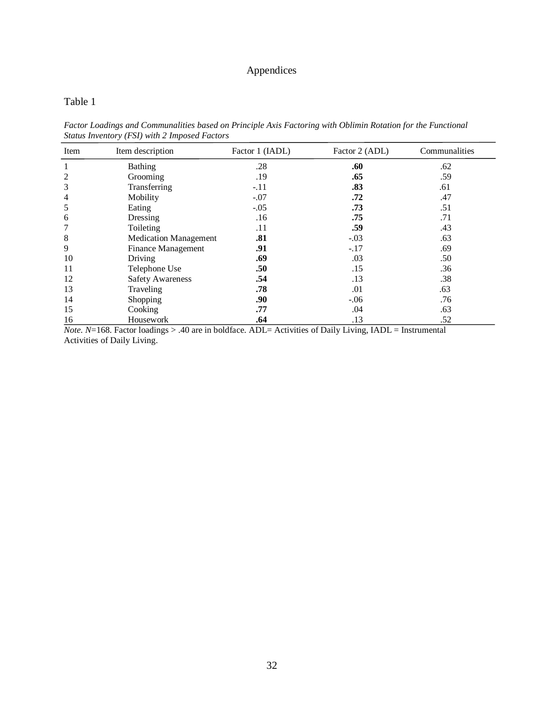## Appendices

#### Table 1

*Factor Loadings and Communalities based on Principle Axis Factoring with Oblimin Rotation for the Functional Status Inventory (FSI) with 2 Imposed Factors*

| Item           | Item description             | Factor 1 (IADL) | Factor 2 (ADL) | Communalities |
|----------------|------------------------------|-----------------|----------------|---------------|
| 1              | Bathing                      | .28             | .60            | .62           |
| $\overline{c}$ | Grooming                     | .19             | .65            | .59           |
| 3              | Transferring                 | $-.11$          | .83            | .61           |
| $\overline{4}$ | Mobility                     | $-.07$          | .72            | .47           |
| 5              | Eating                       | $-.05$          | .73            | .51           |
| 6              | Dressing                     | .16             | .75            | .71           |
| 7              | Toileting                    | .11             | .59            | .43           |
| 8              | <b>Medication Management</b> | .81             | $-.03$         | .63           |
| 9              | <b>Finance Management</b>    | .91             | $-.17$         | .69           |
| 10             | Driving                      | .69             | .03            | .50           |
| 11             | Telephone Use                | .50             | .15            | .36           |
| 12             | <b>Safety Awareness</b>      | .54             | .13            | .38           |
| 13             | Traveling                    | .78             | .01            | .63           |
| 14             | Shopping                     | .90             | $-.06$         | .76           |
| 15             | Cooking                      | .77             | .04            | .63           |
| 16             | Housework                    | .64             | .13            | .52           |

*Note. N*=168. Factor loadings > .40 are in boldface. ADL= Activities of Daily Living, IADL = Instrumental Activities of Daily Living.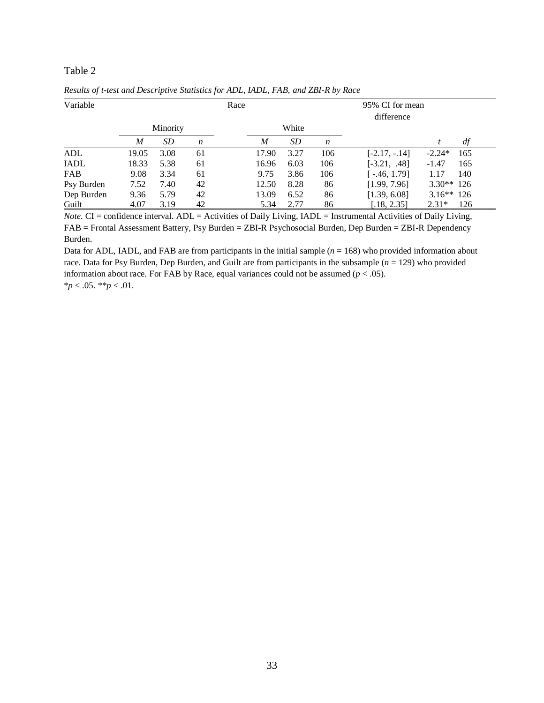#### Table 2

| Variable    |       |          |    | Race |                  |       |                  | 95% CI for mean<br>difference |              |     |
|-------------|-------|----------|----|------|------------------|-------|------------------|-------------------------------|--------------|-----|
|             |       | Minority |    |      |                  | White |                  |                               |              |     |
|             | M     | SD       | n  |      | $\boldsymbol{M}$ | SD    | $\boldsymbol{n}$ |                               |              | df  |
| ADL         | 19.05 | 3.08     | 61 |      | 17.90            | 3.27  | 106              | $[-2.17, -14]$                | $-2.24*$     | 165 |
| <b>IADL</b> | 18.33 | 5.38     | 61 |      | 16.96            | 6.03  | 106              | $[-3.21, .48]$                | $-1.47$      | 165 |
| <b>FAB</b>  | 9.08  | 3.34     | 61 |      | 9.75             | 3.86  | 106              | $-46, 1.79$                   | 1.17         | 140 |
| Psy Burden  | 7.52  | 7.40     | 42 |      | 12.50            | 8.28  | 86               | [1.99, 7.96]                  | $3.30**$ 126 |     |
| Dep Burden  | 9.36  | 5.79     | 42 |      | 13.09            | 6.52  | 86               | [1.39, 6.08]                  | $3.16**126$  |     |
| Guilt       | 4.07  | 3.19     | 42 |      | 5.34             | 2.77  | 86               | [.18, 2.35]                   | $2.31*$      | 126 |

*Results of t-test and Descriptive Statistics for ADL, IADL, FAB, and ZBI-R by Race*

*Note.* CI = confidence interval. ADL = Activities of Daily Living, IADL = Instrumental Activities of Daily Living, FAB = Frontal Assessment Battery, Psy Burden = ZBI-R Psychosocial Burden, Dep Burden = ZBI-R Dependency Burden.

Data for ADL, IADL, and FAB are from participants in the initial sample  $(n = 168)$  who provided information about race. Data for Psy Burden, Dep Burden, and Guilt are from participants in the subsample (*n* = 129) who provided information about race. For FAB by Race, equal variances could not be assumed  $(p < .05)$ . \**p* < .05. \*\**p* < .01.